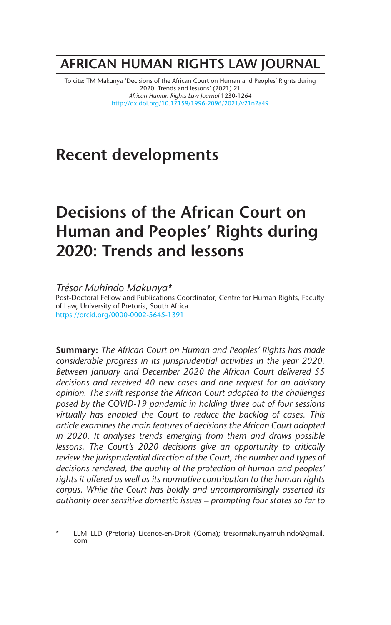# **AFRICAN HUMAN RIGHTS LAW JOURNAL**

To cite: TM Makunya 'Decisions of the African Court on Human and Peoples' Rights during 2020: Trends and lessons' (2021) 21 *African Human Rights Law Journal* 1230-1264 http://dx.doi.org/10.17159/1996-2096/2021/v21n2a49

# **Recent developments**

# **Decisions of the African Court on Human and Peoples' Rights during 2020: Trends and lessons**

*Trésor Muhindo Makunya\** Post-Doctoral Fellow and Publications Coordinator, Centre for Human Rights, Faculty of Law, University of Pretoria, South Africa https://orcid.org/0000-0002-5645-1391

**Summary:** *The African Court on Human and Peoples' Rights has made considerable progress in its jurisprudential activities in the year 2020. Between January and December 2020 the African Court delivered 55 decisions and received 40 new cases and one request for an advisory opinion. The swift response the African Court adopted to the challenges posed by the COVID-19 pandemic in holding three out of four sessions virtually has enabled the Court to reduce the backlog of cases. This article examines the main features of decisions the African Court adopted in 2020. It analyses trends emerging from them and draws possible lessons. The Court's 2020 decisions give an opportunity to critically review the jurisprudential direction of the Court, the number and types of decisions rendered, the quality of the protection of human and peoples' rights it offered as well as its normative contribution to the human rights corpus. While the Court has boldly and uncompromisingly asserted its authority over sensitive domestic issues – prompting four states so far to*

LLM LLD (Pretoria) Licence-en-Droit (Goma); tresormakunyamuhindo@gmail. com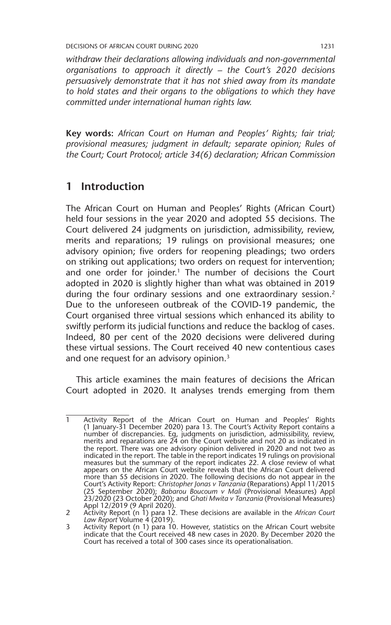*withdraw their declarations allowing individuals and non-governmental organisations to approach it directly – the Court's 2020 decisions persuasively demonstrate that it has not shied away from its mandate to hold states and their organs to the obligations to which they have committed under international human rights law.*

**Key words:** *African Court on Human and Peoples' Rights; fair trial; provisional measures; judgment in default; separate opinion; Rules of the Court; Court Protocol; article 34(6) declaration; African Commission*

## **1 Introduction**

The African Court on Human and Peoples' Rights (African Court) held four sessions in the year 2020 and adopted 55 decisions. The Court delivered 24 judgments on jurisdiction, admissibility, review, merits and reparations; 19 rulings on provisional measures; one advisory opinion; five orders for reopening pleadings; two orders on striking out applications; two orders on request for intervention; and one order for joinder.<sup>1</sup> The number of decisions the Court adopted in 2020 is slightly higher than what was obtained in 2019 during the four ordinary sessions and one extraordinary session.<sup>2</sup> Due to the unforeseen outbreak of the COVID-19 pandemic, the Court organised three virtual sessions which enhanced its ability to swiftly perform its judicial functions and reduce the backlog of cases. Indeed, 80 per cent of the 2020 decisions were delivered during these virtual sessions. The Court received 40 new contentious cases and one request for an advisory opinion.<sup>3</sup>

This article examines the main features of decisions the African Court adopted in 2020. It analyses trends emerging from them

<sup>1</sup> Activity Report of the African Court on Human and Peoples' Rights (1 January-31 December 2020) para 13. The Court's Activity Report contains a number of discrepancies. Eg, judgments on jurisdiction, admissibility, review, merits and reparations are 24 on the Court website and not 20 as indicated in the report. There was one advisory opinion delivered in 2020 and not two as indicated in the report. The table in the report indicates 19 rulings on provisional measures but the summary of the report indicates 22. A close review of what appears on the African Court website reveals that the African Court delivered more than 55 decisions in 2020. The following decisions do not appear in the Court's Activity Report: *Christopher Jonas v Tanzania* (Reparations) Appl 11/2015 (25 September 2020); *Babarou Boucoum v Mali* (Provisional Measures) Appl 23/2020 (23 October 2020); and *Ghati Mwita v Tanzania* (Provisional Measures)

Appl 12/2019 (9 April 2020). 2 Activity Report (n 1) para 12. These decisions are available in the *African Court Law Report* Volume 4 (2019).

<sup>3</sup> Activity Report (n 1) para 10. However, statistics on the African Court website indicate that the Court received 48 new cases in 2020. By December 2020 the Court has received a total of 300 cases since its operationalisation.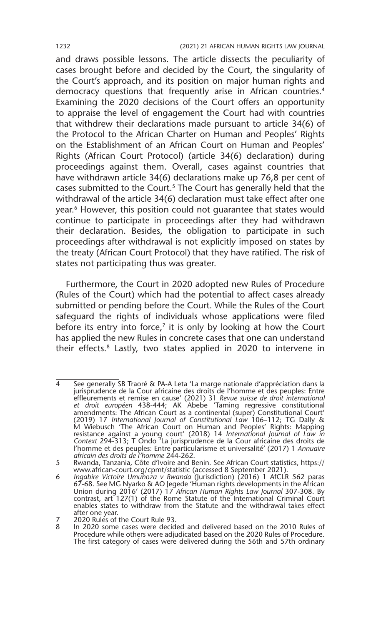and draws possible lessons. The article dissects the peculiarity of cases brought before and decided by the Court, the singularity of the Court's approach, and its position on major human rights and democracy questions that frequently arise in African countries.<sup>4</sup> Examining the 2020 decisions of the Court offers an opportunity to appraise the level of engagement the Court had with countries that withdrew their declarations made pursuant to article 34(6) of the Protocol to the African Charter on Human and Peoples' Rights on the Establishment of an African Court on Human and Peoples' Rights (African Court Protocol) (article 34(6) declaration) during proceedings against them. Overall, cases against countries that have withdrawn article 34(6) declarations make up 76,8 per cent of cases submitted to the Court.<sup>5</sup> The Court has generally held that the withdrawal of the article 34(6) declaration must take effect after one year.<sup>6</sup> However, this position could not quarantee that states would continue to participate in proceedings after they had withdrawn their declaration. Besides, the obligation to participate in such proceedings after withdrawal is not explicitly imposed on states by the treaty (African Court Protocol) that they have ratified. The risk of states not participating thus was greater.

Furthermore, the Court in 2020 adopted new Rules of Procedure (Rules of the Court) which had the potential to affect cases already submitted or pending before the Court. While the Rules of the Court safeguard the rights of individuals whose applications were filed before its entry into force, $7$  it is only by looking at how the Court has applied the new Rules in concrete cases that one can understand their effects.8 Lastly, two states applied in 2020 to intervene in

<sup>4</sup> See generally SB Traoré & PA-A Leta 'La marge nationale d'appréciation dans la jurisprudence de la Cour africaine des droits de l'homme et des peuples: Entre effleurements et remise en cause' (2021) 31 *Revue suisse de droit international et droit européen* 438-444; AK Abebe 'Taming regressive constitutional amendments: The African Court as a continental (super) Constitutional Court' (2019) 17 *International Journal of Constitutional Law* 106–112; TG Dally & M Wiebusch 'The African Court on Human and Peoples' Rights: Mapping resistance against a young court' (2018) 14 *International Journal of Law in Context* 294-313; T Ondo 'La jurisprudence de la Cour africaine des droits de l'homme et des peuples: Entre particularisme et universalité' (2017) 1 *Annuaire africain des droits de l'homme* 244-262.

<sup>5</sup> Rwanda, Tanzania, Côte d'Ivoire and Benin. See African Court statistics, https:// www.african-court.org/cpmt/statistic (accessed 8 September 2021).

<sup>6</sup> *Ingabire Victoire Umuhoza v Rwanda* (Jurisdiction) (2016) 1 AfCLR 562 paras 67-68. See MG Nyarko & AO Jegede 'Human rights developments in the African Union during 2016' (2017) 17 *African Human Rights Law Journal* 307-308. By contrast, art 127(1) of the Rome Statute of the International Criminal Court enables states to withdraw from the Statute and the withdrawal takes effect after one year.

<sup>7 2020</sup> Rules of the Court Rule 93.<br>8 In 2020 some cases were decid

In 2020 some cases were decided and delivered based on the 2010 Rules of Procedure while others were adjudicated based on the 2020 Rules of Procedure. The first category of cases were delivered during the 56th and 57th ordinary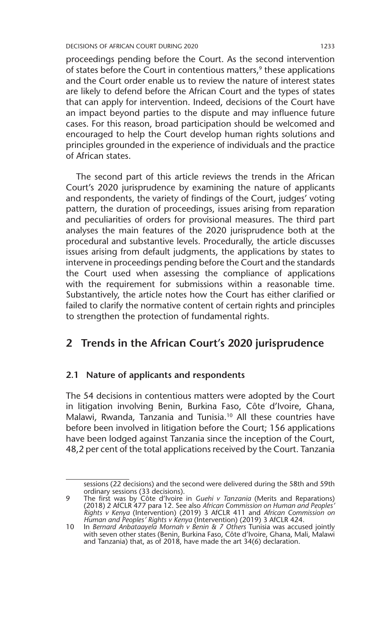proceedings pending before the Court. As the second intervention of states before the Court in contentious matters,<sup>9</sup> these applications and the Court order enable us to review the nature of interest states are likely to defend before the African Court and the types of states that can apply for intervention. Indeed, decisions of the Court have an impact beyond parties to the dispute and may influence future cases. For this reason, broad participation should be welcomed and encouraged to help the Court develop human rights solutions and principles grounded in the experience of individuals and the practice of African states.

The second part of this article reviews the trends in the African Court's 2020 jurisprudence by examining the nature of applicants and respondents, the variety of findings of the Court, judges' voting pattern, the duration of proceedings, issues arising from reparation and peculiarities of orders for provisional measures. The third part analyses the main features of the 2020 jurisprudence both at the procedural and substantive levels. Procedurally, the article discusses issues arising from default judgments, the applications by states to intervene in proceedings pending before the Court and the standards the Court used when assessing the compliance of applications with the requirement for submissions within a reasonable time. Substantively, the article notes how the Court has either clarified or failed to clarify the normative content of certain rights and principles to strengthen the protection of fundamental rights.

## **2 Trends in the African Court's 2020 jurisprudence**

## **2.1 Nature of applicants and respondents**

The 54 decisions in contentious matters were adopted by the Court in litigation involving Benin, Burkina Faso, Côte d'Ivoire, Ghana, Malawi, Rwanda, Tanzania and Tunisia.<sup>10</sup> All these countries have before been involved in litigation before the Court; 156 applications have been lodged against Tanzania since the inception of the Court, 48,2 per cent of the total applications received by the Court. Tanzania

sessions (22 decisions) and the second were delivered during the 58th and 59th ordinary sessions (33 decisions).

<sup>9</sup> The first was by Côte d'Ivoire in *Guehi v Tanzania* (Merits and Reparations) (2018) 2 AfCLR 477 para 12. See also *African Commission on Human and Peoples'*<br>*Rights v Kenya (*Intervention) (2019) 3 AfCLR 411 and *African Commission on*<br>Human and Peoples' Rights v Kenya (Intervention) (2019) 3 AfCLR

<sup>10</sup> In *Bernard Anbataayela Mornah v Benin & 7 Others* Tunisia was accused jointly with seven other states (Benin, Burkina Faso, Côte d'Ivoire, Ghana, Mali, Malawi and Tanzania) that, as of 2018, have made the art 34(6) declaration.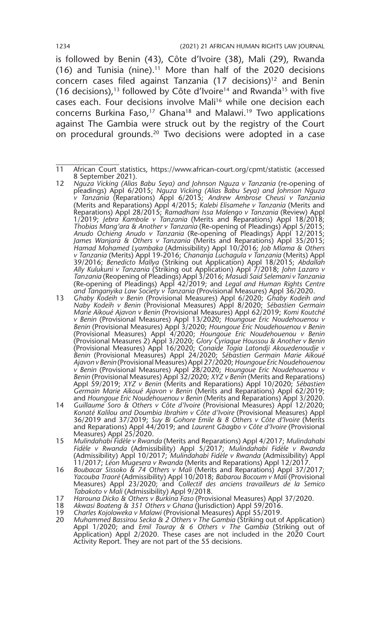is followed by Benin (43), Côte d'Ivoire (38), Mali (29), Rwanda  $(16)$  and Tunisia (nine).<sup>11</sup> More than half of the 2020 decisions concern cases filed against Tanzania  $(17 \text{ decisions})^{12}$  and Benin (16 decisions),<sup>13</sup> followed by Côte d'Ivoire<sup>14</sup> and Rwanda<sup>15</sup> with five cases each. Four decisions involve Mali<sup>16</sup> while one decision each concerns Burkina Faso,<sup>17</sup> Ghana<sup>18</sup> and Malawi.<sup>19</sup> Two applications against The Gambia were struck out by the registry of the Court on procedural grounds.20 Two decisions were adopted in a case

- 12 *Nguza Vicking (Alias Babu Seya) and Johnson Nguza v Tanzania* (re-opening of pleadings) Appl 6/2015; *Nguza Vicking (Alias Babu Seya) and Johnson Nguza v Tanzania* (Reparations) Appl 6/2015; *Andrew Ambrose Cheusi v Tanzania*  (Merits and Reparations) Appl 4/2015; *Kalebi Elisamehe v Tanzania* (Merits and Reparations) Appl 28/2015; *Ramadhani Issa Malengo v Tanzania* (Review) Appl 1/2019; *Jebra Kambole v Tanzania* (Merits and Reparations) Appl 18/2018; *Thobias Mang'ara & Another v Tanzania* (Re-opening of Pleadings) Appl 5/2015; *Anudo Ochieng Anudo v Tanzania* (Re-opening of Pleadings) Appl 12/2015; *James Wanjara & Others v Tanzania* (Merits and Reparations) Appl 35/2015; *Hamad Mohamed Lyambaka* (Admissibility) Appl 10/2016; *Job Mlama & Others v Tanzania* (Merits) Appl 19-2016; *Chananja Luchagula v Tanzania* (Merits) Appl 39/2016; *Benedicto Mallya* (Striking out Application) Appl 18/2015; *Abdallah Ally Kulukuni v Tanzania* (Striking out Application) Appl 7/2018; *John Lazaro v Tanzania* (Reopening of Pleadings) Appl 3/2016; *Masudi Said Selemani v Tanzania*  (Re-opening of Pleadings) Appl 42/2019; and *Legal and Human Rights Centre and Tanganyika Law Society v Tanzania* (Provisional Measures) Appl 36/2020.
- 13 *Ghaby Kodeih v Benin* (Provisional Measures) Appl 6/2020; *Ghaby Kodeih and Naby Kodeih v Benin* (Provisional Measures) Appl 8/2020; *Sébastien Germain Marie Aïkoué Ajavon v Benin* (Provisional Measures) Appl 62/2019; *Komi Koutché v Benin* (Provisional Measures) Appl 13/2020; *Houngoue Eric Noudehouenou v Benin* (Provisional Measures) Appl 3/2020; *Houngoue Eric Noudehouenou v Benin*  (Provisional Measures) Appl 4/2020; *Houngoue Eric Noudehouenou v Benin*  (Provisional Measures 2) Appl 3/2020; *Glory Cyriaque Houssou & Another v Benin*  (Provisional Measures) Appl 16/2020; *Conaide Togia Latondji Akouedenoudje v Benin* (Provisional Measures) Appl 24/2020; *Sébastien Germain Marie Aïkoué Ajavon v Benin* (Provisional Measures) Appl 27/2020; *Houngoue Eric Noudehouenou v Benin* (Provisional Measures) Appl 28/2020; *Houngoue Eric Noudehouenou v Benin* (Provisional Measures) Appl 32/2020; *XYZ v Benin* (Merits and Reparations) Appl 59/2019; *XYZ v Benin* (Merits and Reparations) Appl 10/2020; *Sébastien Germain Marie Aïkoué Ajavon v Benin* (Merits and Reparations) Appl 62/2019; and *Houngoue Eric Noudehouenou v Benin* (Merits and Reparations) Appl 3/2020.
- 14 *Guillaume Soro & Others v Côte d'Ivoire* (Provisional Measures) Appl 12/2020; Konaté Kalilou and Doumbia Ibrahim v Côte d'Ivoire (Provisional Measures) Appl 36/2019 and 37/2019; *Suy Bi Gohore Emile & 8 Others v Côte d'Ivoire* (Merits and Reparations) Appl 44/2019; and *Laurent Gbagbo v Côte d'Ivoire* (Provisional Measures) Appl 25/2020.
- 15 *Mulindahabi Fidèle v Rwanda* (Merits and Reparations) Appl 4/2017; *Mulindahabi Fidèle v Rwanda* (Admissibility) Appl 5/2017; *Mulindahabi Fidèle v Rwanda*  (Admissibility) Appl 10/2017; *Mulindahabi Fidèle v Rwanda* (Admissibility) Appl 11/2017; *Léon Mugesera v Rwanda* (Merits and Reparations) Appl 12/2017.
- 16 *Boubacar Sissoko & 74 Others v Mali* (Merits and Reparations) Appl 37/2017; *Yacouba Traoré* (Admissibility) Appl 10/2018; *Babarou Bocoum v Mali* (Provisional Measures) Appl 23/2020; and *Collectif des anciens travailleurs de la Semico Tabakoto v Mali* (Admissibility) Appl 9/2018.
- 17 *Harouna Dicko & Others v Burkina Faso* (Provisional Measures) Appl 37/2020.
- 
- 
- 18 Akwasi Boateng & 351 Others v Ghana (Jurisdiction) Appl 59/2016.<br>19 Charles Kojoloweka v Malawi (Provisional Measures) Appl 55/2019.<br>20 Muhammed Bassirou Secka & 2 Others v The Gambia (Striking out of Applic Appl 1/2020; and *Emil Touray & 6 Others v The Gambia* (Striking out of Application) Appl 2/2020. These cases are not included in the 2020 Court Activity Report. They are not part of the 55 decisions.

<sup>11</sup> African Court statistics, https://www.african-court.org/cpmt/statistic (accessed 8 September 2021).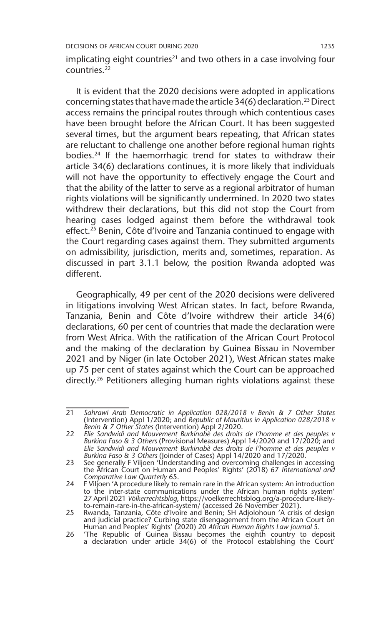implicating eight countries<sup>21</sup> and two others in a case involving four countries.22

It is evident that the 2020 decisions were adopted in applications concerning states that have made the article 34(6) declaration.23 Direct access remains the principal routes through which contentious cases have been brought before the African Court. It has been suggested several times, but the argument bears repeating, that African states are reluctant to challenge one another before regional human rights bodies.<sup>24</sup> If the haemorrhagic trend for states to withdraw their article 34(6) declarations continues, it is more likely that individuals will not have the opportunity to effectively engage the Court and that the ability of the latter to serve as a regional arbitrator of human rights violations will be significantly undermined. In 2020 two states withdrew their declarations, but this did not stop the Court from hearing cases lodged against them before the withdrawal took effect.<sup>25</sup> Benin, Côte d'Ivoire and Tanzania continued to engage with the Court regarding cases against them. They submitted arguments on admissibility, jurisdiction, merits and, sometimes, reparation. As discussed in part 3.1.1 below, the position Rwanda adopted was different.

Geographically, 49 per cent of the 2020 decisions were delivered in litigations involving West African states. In fact, before Rwanda, Tanzania, Benin and Côte d'Ivoire withdrew their article 34(6) declarations, 60 per cent of countries that made the declaration were from West Africa. With the ratification of the African Court Protocol and the making of the declaration by Guinea Bissau in November 2021 and by Niger (in late October 2021), West African states make up 75 per cent of states against which the Court can be approached directly.<sup>26</sup> Petitioners alleging human rights violations against these

<sup>21</sup> *Sahrawi Arab Democratic in Application 028/2018 v Benin & 7 Other States*  (Intervention) Appl 1/2020; and *Republic of Mauritius in Application 028/2018 v Benin & 7 Other States* (Intervention) Appl 2/2020.

<sup>22</sup> *Elie Sandwidi and Mouvement Burkinabè des droits de l'homme et des peuples v Burkina Faso & 3 Others* (Provisional Measures) Appl 14/2020 and 17/2020; and *Elie Sandwidi and Mouvement Burkinabè des droits de l'homme et des peuples v Burkina Faso & 3 Others* (Joinder of Cases) Appl 14/2020 and 17/2020.

<sup>23</sup> See generally F Viljoen 'Understanding and overcoming challenges in accessing the African Court on Human and Peoples' Rights' (2018) 67 *International and Comparative Law Quarterly* 65.

<sup>24</sup> F Viljoen 'A procedure likely to remain rare in the African system: An introduction to the inter-state communications under the African human rights system' 27 April 2021 *Völkerrechtsblog*, https://voelkerrechtsblog.org/a-procedure-likely-

to-remain-rare-in-the-african-system/ (accessed 26 November 2021). 25 Rwanda, Tanzania, Côte d'Ivoire and Benin; SH Adjolohoun 'A crisis of design and judicial practice? Curbing state disengagement from the African Court on Human and Peoples' Rights' (2020) 20 *African Human Rights Law Journal* 5.

<sup>26</sup> 'The Republic of Guinea Bissau becomes the eighth country to deposit a declaration under article 34(6) of the Protocol establishing the Court'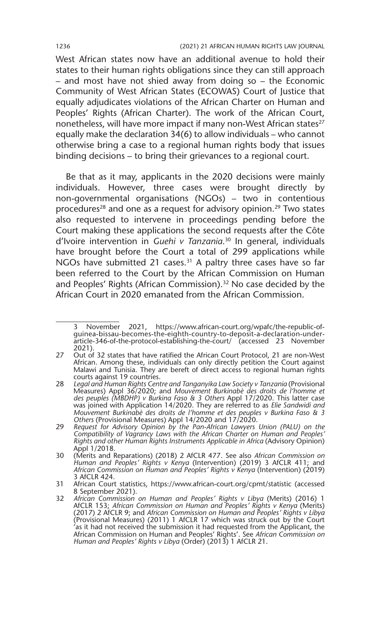West African states now have an additional avenue to hold their states to their human rights obligations since they can still approach – and most have not shied away from doing so – the Economic Community of West African States (ECOWAS) Court of Justice that equally adjudicates violations of the African Charter on Human and Peoples' Rights (African Charter). The work of the African Court, nonetheless, will have more impact if many non-West African states<sup>27</sup> equally make the declaration 34(6) to allow individuals – who cannot otherwise bring a case to a regional human rights body that issues binding decisions – to bring their grievances to a regional court.

Be that as it may, applicants in the 2020 decisions were mainly individuals. However, three cases were brought directly by non-governmental organisations (NGOs) – two in contentious procedures<sup>28</sup> and one as a request for advisory opinion.<sup>29</sup> Two states also requested to intervene in proceedings pending before the Court making these applications the second requests after the Côte d'Ivoire intervention in *Guehi v Tanzania*. 30 In general, individuals have brought before the Court a total of 299 applications while NGOs have submitted 21 cases.<sup>31</sup> A paltry three cases have so far been referred to the Court by the African Commission on Human and Peoples' Rights (African Commission).<sup>32</sup> No case decided by the African Court in 2020 emanated from the African Commission.

<sup>3</sup> November 2021, https://www.african-court.org/wpafc/the-republic-ofguinea-bissau-becomes-the-eighth-country-to-deposit-a-declaration-underarticle-346-of-the-protocol-establishing-the-court/ (accessed 23 November 2021).

<sup>27</sup> Out of 32 states that have ratified the African Court Protocol, 21 are non-West African. Among these, individuals can only directly petition the Court against Malawi and Tunisia. They are bereft of direct access to regional human rights courts against 19 countries.

<sup>28</sup> *Legal and Human Rights Centre and Tanganyika Law Society v Tanzania* (Provisional Measures) Appl 36/2020; and *Mouvement Burkinabè des droits de l'homme et des peuples (MBDHP) v Burkina Faso & 3 Others* Appl 17/2020. This latter case was joined with Application 14/2020. They are referred to as *Elie Sandwidi and Mouvement Burkinabè des droits de l'homme et des peuples v Burkina Faso & 3 Others* (Provisional Measures) Appl 14/2020 and 17/2020.

<sup>29</sup> *Request for Advisory Opinion by the Pan-African Lawyers Union (PALU) on the Compatibility of Vagrancy Laws with the African Charter on Human and Peoples' Rights and other Human Rights Instruments Applicable in Africa* (Advisory Opinion) Appl 1/2018.

<sup>30</sup> (Merits and Reparations) (2018) 2 AfCLR 477. See also *African Commission on Human and Peoples' Rights v Kenya* (Intervention) (2019) 3 AfCLR 411; and *African Commission on Human and Peoples' Rights v Kenya* (Intervention) (2019) 3 AfCLR 424.

<sup>31</sup> African Court statistics, https://www.african-court.org/cpmt/statistic (accessed 8 September 2021).

<sup>32</sup> *African Commission on Human and Peoples' Rights v Libya* (Merits) (2016) 1 AfCLR 153; *African Commission on Human and Peoples' Rights v Kenya* (Merits)<br>(2017) 2 AfCLR 9; and *African Commission on Human and Peoples' Rights v Libya*<br>(Provisional Measures) (2011) 1 AfCLR 17 which was struck out by 'as it had not received the submission it had requested from the Applicant, the African Commission on Human and Peoples' Rights'. See *African Commission on Human and Peoples' Rights v Libya* (Order) (2013) 1 AfCLR 21.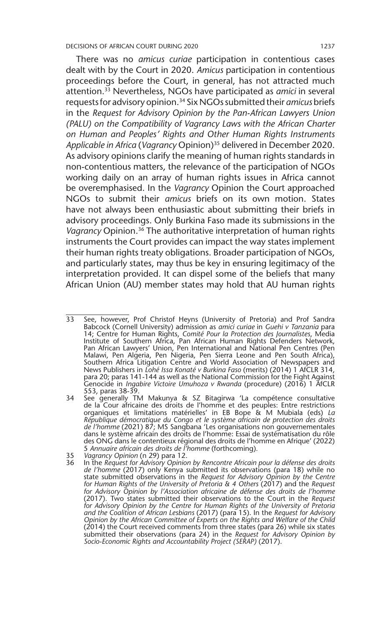There was no *amicus curiae* participation in contentious cases dealt with by the Court in 2020. *Amicus* participation in contentious proceedings before the Court, in general, has not attracted much attention.33 Nevertheless, NGOs have participated as *amici* in several requests for advisory opinion.34 Six NGOs submitted their *amicus* briefs in the *Request for Advisory Opinion by the Pan-African Lawyers Union (PALU) on the Compatibility of Vagrancy Laws with the African Charter on Human and Peoples' Rights and Other Human Rights Instruments Applicable in Africa* (*Vagrancy* Opinion)35 delivered in December 2020. As advisory opinions clarify the meaning of human rights standards in non-contentious matters, the relevance of the participation of NGOs working daily on an array of human rights issues in Africa cannot be overemphasised. In the *Vagrancy* Opinion the Court approached NGOs to submit their *amicus* briefs on its own motion. States have not always been enthusiastic about submitting their briefs in advisory proceedings. Only Burkina Faso made its submissions in the *Vagrancy* Opinion.36 The authoritative interpretation of human rights instruments the Court provides can impact the way states implement their human rights treaty obligations. Broader participation of NGOs, and particularly states, may thus be key in ensuring legitimacy of the interpretation provided. It can dispel some of the beliefs that many African Union (AU) member states may hold that AU human rights

- 34 See generally TM Makunya & SZ Bitagirwa 'La compétence consultative de la Cour africaine des droits de l'homme et des peuples: Entre restrictions organiques et limitations matérielles' in EB Bope & M Mubiala (eds) *La République démocratique du Congo et le système africain de protection des droits de l'homme* (2021) 87; MS Sangbana 'Les organisations non gouvernementales dans le système africain des droits de l'homme: Essai de systématisation du rôle des ONG dans le contentieux régional des droits de l'homme en Afrique' (2022) 5 *Annuaire africain des droits de l'homme* (forthcoming)*.*
- 35 *Vagrancy Opinion* (n 29) para 12.
- 36 In the *Request for Advisory Opinion by Rencontre Africain pour la défense des droits de l'homme* (2017) only Kenya submitted its observations (para 18) while no state submitted observations in the *Request for Advisory Opinion by the Centre for Human Rights of the University of Pretoria & 4 Others* (2017) and the *Request for Advisory Opinion by l'Association africaine de défense des droits de l'homme* (2017). Two states submitted their observations to the Court in the *Request*  for Advisory Opinion by the Centre for Human Rights of the University of Pretoria<br>and the Coalition of African Lesbians (2017) (para 15). In the Request for Advisory<br>Opinion by the African Committee of Experts on the Right (2014) the Court received comments from three states (para 26) while six states submitted their observations (para 24) in the *Request for Advisory Opinion by Socio-Economic Rights and Accountability Project (SERAP)* (2017).

<sup>33</sup> See, however, Prof Christof Heyns (University of Pretoria) and Prof Sandra Babcock (Cornell University) admission as *amici curiae* in *Guehi v Tanzania* para 14; Centre for Human Rights, *Comité Pour la Protection des Journalistes*, Media Institute of Southern Africa, Pan African Human Rights Defenders Network, Pan African Lawyers' Union, Pen International and National Pen Centres (Pen Malawi, Pen Algeria, Pen Nigeria, Pen Sierra Leone and Pen South Africa), Southern Africa Litigation Centre and World Association of Newspapers and News Publishers in *Lohé Issa Konaté v Burkina Faso* (merits) (2014) 1 AfCLR 314, para 20; paras 141-144 as well as the National Commission for the Fight Against Genocide in *Ingabire Victoire Umuhoza v Rwanda* (procedure) (2016) 1 AfCLR 553, paras 38-39.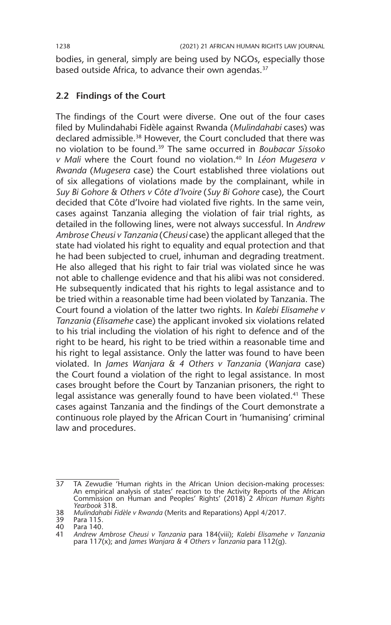bodies, in general, simply are being used by NGOs, especially those based outside Africa, to advance their own agendas.<sup>37</sup>

## **2.2 Findings of the Court**

The findings of the Court were diverse. One out of the four cases filed by Mulindahabi Fidèle against Rwanda (*Mulindahabi* cases) was declared admissible.38 However, the Court concluded that there was no violation to be found.39 The same occurred in *Boubacar Sissoko v Mali* where the Court found no violation.40 In *Léon Mugesera v Rwanda* (*Mugesera* case) the Court established three violations out of six allegations of violations made by the complainant, while in *Suy Bi Gohore & Others v Côte d'Ivoire* (*Suy Bi Gohore* case), the Court decided that Côte d'Ivoire had violated five rights. In the same vein, cases against Tanzania alleging the violation of fair trial rights, as detailed in the following lines, were not always successful. In *Andrew Ambrose Cheusi v Tanzania* (*Cheusi* case) the applicant alleged that the state had violated his right to equality and equal protection and that he had been subjected to cruel, inhuman and degrading treatment. He also alleged that his right to fair trial was violated since he was not able to challenge evidence and that his alibi was not considered. He subsequently indicated that his rights to legal assistance and to be tried within a reasonable time had been violated by Tanzania. The Court found a violation of the latter two rights. In *Kalebi Elisamehe v Tanzania* (*Elisamehe* case) the applicant invoked six violations related to his trial including the violation of his right to defence and of the right to be heard, his right to be tried within a reasonable time and his right to legal assistance. Only the latter was found to have been violated. In *James Wanjara & 4 Others v Tanzania* (*Wanjara* case) the Court found a violation of the right to legal assistance. In most cases brought before the Court by Tanzanian prisoners, the right to legal assistance was generally found to have been violated.<sup>41</sup> These cases against Tanzania and the findings of the Court demonstrate a continuous role played by the African Court in 'humanising' criminal law and procedures.

<sup>37</sup> TA Zewudie 'Human rights in the African Union decision-making processes: An empirical analysis of states' reaction to the Activity Reports of the African Commission on Human and Peoples' Rights' (2018) 2 *African Human Rights Yearbook* 318.

<sup>38</sup> *Mulindahabi Fidèle v Rwanda* (Merits and Reparations) Appl 4/2017.

<sup>39</sup> Para 115.

<sup>40</sup> Para 140.<br>41 Andrew A

<sup>41</sup> *Andrew Ambrose Cheusi v Tanzania* para 184(viii); *Kalebi Elisamehe v Tanzania* para 117(x); and *James Wanjara & 4 Others v Tanzania* para 112(g).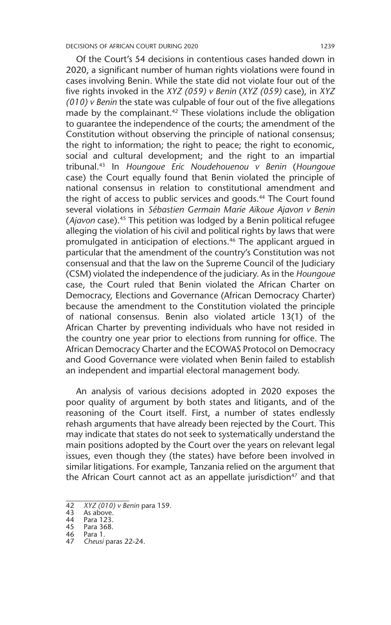Of the Court's 54 decisions in contentious cases handed down in 2020, a significant number of human rights violations were found in cases involving Benin. While the state did not violate four out of the five rights invoked in the *XYZ (059) v Benin* (*XYZ (059)* case), in *XYZ (010) v Benin* the state was culpable of four out of the five allegations made by the complainant.<sup>42</sup> These violations include the obligation to guarantee the independence of the courts; the amendment of the Constitution without observing the principle of national consensus; the right to information; the right to peace; the right to economic, social and cultural development; and the right to an impartial tribunal.43 In *Houngoue Eric Noudehouenou v Benin* (*Houngoue* case) the Court equally found that Benin violated the principle of national consensus in relation to constitutional amendment and the right of access to public services and goods.<sup>44</sup> The Court found several violations in *Sébastien Germain Marie Aïkoue Ajavon v Benin* (*Ajavon* case).45 This petition was lodged by a Benin political refugee alleging the violation of his civil and political rights by laws that were promulgated in anticipation of elections.<sup>46</sup> The applicant argued in particular that the amendment of the country's Constitution was not consensual and that the law on the Supreme Council of the Judiciary (CSM) violated the independence of the judiciary. As in the *Houngoue* case, the Court ruled that Benin violated the African Charter on Democracy, Elections and Governance (African Democracy Charter) because the amendment to the Constitution violated the principle of national consensus. Benin also violated article 13(1) of the African Charter by preventing individuals who have not resided in the country one year prior to elections from running for office. The African Democracy Charter and the ECOWAS Protocol on Democracy and Good Governance were violated when Benin failed to establish an independent and impartial electoral management body.

An analysis of various decisions adopted in 2020 exposes the poor quality of argument by both states and litigants, and of the reasoning of the Court itself. First, a number of states endlessly rehash arguments that have already been rejected by the Court. This may indicate that states do not seek to systematically understand the main positions adopted by the Court over the years on relevant legal issues, even though they (the states) have before been involved in similar litigations. For example, Tanzania relied on the argument that the African Court cannot act as an appellate jurisdiction $47$  and that

45 Para 368.

<sup>42</sup> *XYZ (010) v Benin* para 159.

<sup>43</sup> As above.<br>44 Para 123.

<sup>44</sup> Para 123.

<sup>46</sup> Para 1.<br>47 Cheusi 47 *Cheusi* paras 22-24.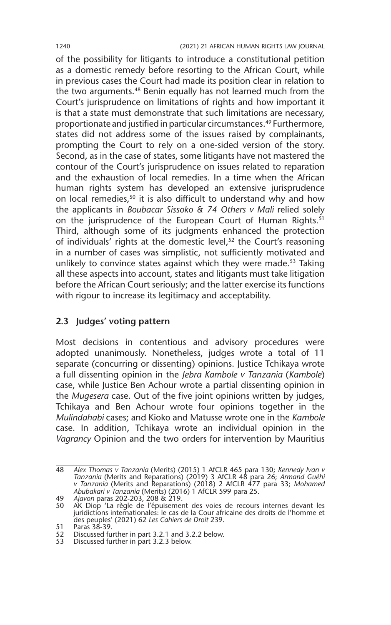of the possibility for litigants to introduce a constitutional petition as a domestic remedy before resorting to the African Court, while in previous cases the Court had made its position clear in relation to the two arguments.<sup>48</sup> Benin equally has not learned much from the Court's jurisprudence on limitations of rights and how important it is that a state must demonstrate that such limitations are necessary, proportionate and justified in particular circumstances.49 Furthermore, states did not address some of the issues raised by complainants, prompting the Court to rely on a one-sided version of the story. Second, as in the case of states, some litigants have not mastered the contour of the Court's jurisprudence on issues related to reparation and the exhaustion of local remedies. In a time when the African human rights system has developed an extensive jurisprudence on local remedies,<sup>50</sup> it is also difficult to understand why and how the applicants in *Boubacar Sissoko & 74 Others v Mali* relied solely on the jurisprudence of the European Court of Human Rights.<sup>51</sup> Third, although some of its judgments enhanced the protection of individuals' rights at the domestic level,<sup>52</sup> the Court's reasoning in a number of cases was simplistic, not sufficiently motivated and unlikely to convince states against which they were made.<sup>53</sup> Taking all these aspects into account, states and litigants must take litigation before the African Court seriously; and the latter exercise its functions with rigour to increase its legitimacy and acceptability.

## **2.3 Judges' voting pattern**

Most decisions in contentious and advisory procedures were adopted unanimously. Nonetheless, judges wrote a total of 11 separate (concurring or dissenting) opinions. Justice Tchikaya wrote a full dissenting opinion in the *Jebra Kambole v Tanzania* (*Kambole*) case, while Justice Ben Achour wrote a partial dissenting opinion in the *Mugesera* case. Out of the five joint opinions written by judges, Tchikaya and Ben Achour wrote four opinions together in the *Mulindahabi* cases; and Kioko and Matusse wrote one in the *Kambole*  case. In addition, Tchikaya wrote an individual opinion in the *Vagrancy* Opinion and the two orders for intervention by Mauritius

<sup>48</sup> *Alex Thomas v Tanzania* (Merits) (2015) 1 AfCLR 465 para 130; *Kennedy Ivan v Tanzania* (Merits and Reparations) (2019) 3 AfCLR 48 para 26; *Armand Guéhi v Tanzania* (Merits and Reparations) (2018) 2 AfCLR 477 para 33; *Mohamed Abubakari v Tanzania* (Merits) (2016) 1 AfCLR 599 para 25.

<sup>49</sup> *Ajavon* paras 202-203, 208 & 219.

<sup>50</sup> AK Diop 'La règle de l'épuisement des voies de recours internes devant les juridictions internationales: le cas de la Cour africaine des droits de l'homme et des peuples' (2021) 62 *Les Cahiers de Droit* 239.

<sup>51</sup> Paras 38-39.

<sup>52</sup> Discussed further in part 3.2.1 and 3.2.2 below.

<sup>53</sup> Discussed further in part 3.2.3 below.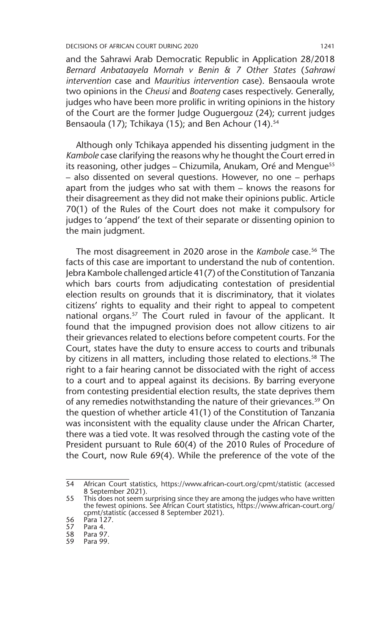and the Sahrawi Arab Democratic Republic in Application 28/2018 *Bernard Anbataayela Mornah v Benin & 7 Other States* (*Sahrawi intervention* case and *Mauritius intervention* case). Bensaoula wrote two opinions in the *Cheusi* and *Boateng* cases respectively. Generally, judges who have been more prolific in writing opinions in the history of the Court are the former Judge Ouguergouz (24); current judges Bensaoula (17); Tchikaya (15); and Ben Achour (14).<sup>54</sup>

Although only Tchikaya appended his dissenting judgment in the *Kambole* case clarifying the reasons why he thought the Court erred in its reasoning, other judges – Chizumila, Anukam, Oré and Mengue<sup>55</sup> – also dissented on several questions. However, no one – perhaps apart from the judges who sat with them – knows the reasons for their disagreement as they did not make their opinions public. Article 70(1) of the Rules of the Court does not make it compulsory for judges to 'append' the text of their separate or dissenting opinion to the main judgment.

The most disagreement in 2020 arose in the *Kambole* case.56 The facts of this case are important to understand the nub of contention. Jebra Kambole challenged article 41(7) of the Constitution of Tanzania which bars courts from adjudicating contestation of presidential election results on grounds that it is discriminatory, that it violates citizens' rights to equality and their right to appeal to competent national organs.<sup>57</sup> The Court ruled in favour of the applicant. It found that the impugned provision does not allow citizens to air their grievances related to elections before competent courts. For the Court, states have the duty to ensure access to courts and tribunals by citizens in all matters, including those related to elections.<sup>58</sup> The right to a fair hearing cannot be dissociated with the right of access to a court and to appeal against its decisions. By barring everyone from contesting presidential election results, the state deprives them of any remedies notwithstanding the nature of their grievances.<sup>59</sup> On the question of whether article 41(1) of the Constitution of Tanzania was inconsistent with the equality clause under the African Charter, there was a tied vote. It was resolved through the casting vote of the President pursuant to Rule 60(4) of the 2010 Rules of Procedure of the Court, now Rule 69(4). While the preference of the vote of the

<sup>54</sup> African Court statistics, https://www.african-court.org/cpmt/statistic (accessed 8 September 2021).

<sup>55</sup> This does not seem surprising since they are among the judges who have written the fewest opinions. See African Court statistics, https://www.african-court.org/ cpmt/statistic (accessed 8 September 2021).

<sup>56</sup> Para 127.<br>57 Para 4.

<sup>57</sup> Para 4.

<sup>58</sup> Para 97.<br>59 Para 99.

Para 99.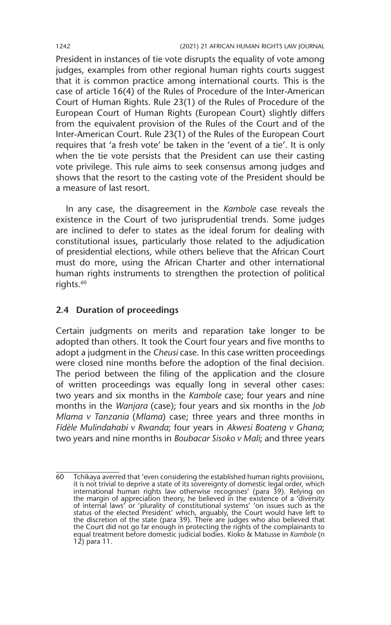President in instances of tie vote disrupts the equality of vote among judges, examples from other regional human rights courts suggest that it is common practice among international courts. This is the case of article 16(4) of the Rules of Procedure of the Inter-American Court of Human Rights. Rule 23(1) of the Rules of Procedure of the European Court of Human Rights (European Court) slightly differs from the equivalent provision of the Rules of the Court and of the Inter-American Court. Rule 23(1) of the Rules of the European Court requires that 'a fresh vote' be taken in the 'event of a tie'. It is only when the tie vote persists that the President can use their casting vote privilege. This rule aims to seek consensus among judges and shows that the resort to the casting vote of the President should be a measure of last resort.

In any case, the disagreement in the *Kambole* case reveals the existence in the Court of two jurisprudential trends. Some judges are inclined to defer to states as the ideal forum for dealing with constitutional issues, particularly those related to the adjudication of presidential elections, while others believe that the African Court must do more, using the African Charter and other international human rights instruments to strengthen the protection of political rights.<sup>60</sup>

## **2.4 Duration of proceedings**

Certain judgments on merits and reparation take longer to be adopted than others. It took the Court four years and five months to adopt a judgment in the *Cheusi* case. In this case written proceedings were closed nine months before the adoption of the final decision. The period between the filing of the application and the closure of written proceedings was equally long in several other cases: two years and six months in the *Kambole* case; four years and nine months in the *Wanjara* (case); four years and six months in the *Job Mlama v Tanzania* (*Mlama*) case; three years and three months in *Fidèle Mulindahabi v Rwanda*; four years in *Akwesi Boateng v Ghana*; two years and nine months in *Boubacar Sisoko v Mali*; and three years

<sup>60</sup> Tchikaya averred that 'even considering the established human rights provisions, it is not trivial to deprive a state of its sovereignty of domestic legal order, which international human rights law otherwise recognises' (para 39). Relying on the margin of appreciation theory, he believed in the existence of a 'diversity of internal laws' or 'plurality of constitutional systems' 'on issues such as the<br>status of the elected President' which, arguably, the Court would have left to<br>the discretion of the state (para 39). There are judges who a the Court did not go far enough in protecting the rights of the complainants to equal treatment before domestic judicial bodies. Kioko & Matusse in *Kambole* (n 12) para 11.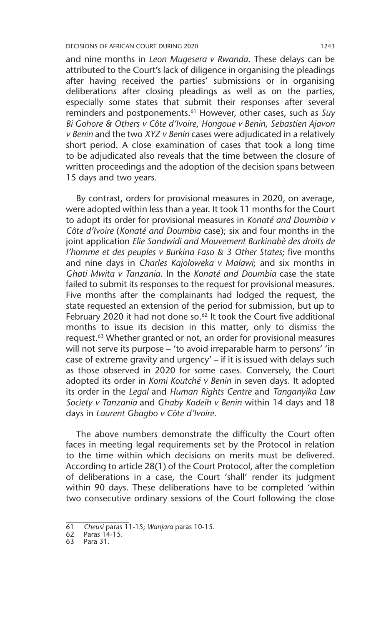and nine months in *Leon Mugesera v Rwanda*. These delays can be attributed to the Court's lack of diligence in organising the pleadings after having received the parties' submissions or in organising deliberations after closing pleadings as well as on the parties, especially some states that submit their responses after several reminders and postponements.61 However, other cases, such as *Suy Bi Gohore & Others v Côte d'Ivoire*, *Hongoue v Benin*, *Sebastien Ajavon v Benin* and the two *XYZ v Benin* cases were adjudicated in a relatively short period. A close examination of cases that took a long time to be adjudicated also reveals that the time between the closure of written proceedings and the adoption of the decision spans between 15 days and two years.

By contrast, orders for provisional measures in 2020, on average, were adopted within less than a year. It took 11 months for the Court to adopt its order for provisional measures in *Konaté and Doumbia v Côte d'Ivoire* (*Konaté and Doumbia* case); six and four months in the joint application *Elie Sandwidi and Mouvement Burkinabè des droits de l'homme et des peuples v Burkina Faso & 3 Other States*; five months and nine days in *Charles Kajoloweka v Malawi*; and six months in *Ghati Mwita v Tanzania*. In the *Konaté and Doumbia* case the state failed to submit its responses to the request for provisional measures. Five months after the complainants had lodged the request, the state requested an extension of the period for submission, but up to February 2020 it had not done so. $62$  It took the Court five additional months to issue its decision in this matter, only to dismiss the request.63 Whether granted or not, an order for provisional measures will not serve its purpose – 'to avoid irreparable harm to persons' 'in case of extreme gravity and urgency' – if it is issued with delays such as those observed in 2020 for some cases. Conversely, the Court adopted its order in *Komi Koutché v Benin* in seven days. It adopted its order in the *Legal* and *Human Rights Centre* and *Tanganyika Law Society v Tanzania* and *Ghaby Kodeih v Benin* within 14 days and 18 days in *Laurent Gbagbo v Côte d'Ivoire*.

The above numbers demonstrate the difficulty the Court often faces in meeting legal requirements set by the Protocol in relation to the time within which decisions on merits must be delivered. According to article 28(1) of the Court Protocol, after the completion of deliberations in a case, the Court 'shall' render its judgment within 90 days. These deliberations have to be completed 'within two consecutive ordinary sessions of the Court following the close

<sup>61</sup> *Cheusi* paras 11-15; *Wanjara* paras 10-15.

<sup>62</sup> Paras 14-15.

Para 31.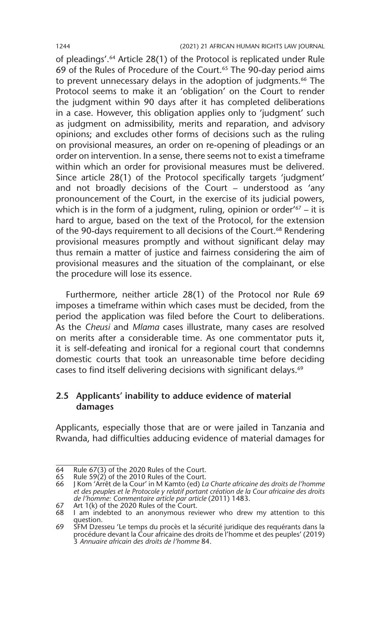of pleadings'.64 Article 28(1) of the Protocol is replicated under Rule 69 of the Rules of Procedure of the Court.<sup>65</sup> The 90-day period aims to prevent unnecessary delays in the adoption of judgments.<sup>66</sup> The Protocol seems to make it an 'obligation' on the Court to render the judgment within 90 days after it has completed deliberations in a case. However, this obligation applies only to 'judgment' such as judgment on admissibility, merits and reparation, and advisory opinions; and excludes other forms of decisions such as the ruling on provisional measures, an order on re-opening of pleadings or an order on intervention. In a sense, there seems not to exist a timeframe within which an order for provisional measures must be delivered. Since article 28(1) of the Protocol specifically targets 'judgment' and not broadly decisions of the Court – understood as 'any pronouncement of the Court, in the exercise of its judicial powers, which is in the form of a judgment, ruling, opinion or order<sup> $67$ </sup> – it is hard to argue, based on the text of the Protocol, for the extension of the 90-days requirement to all decisions of the Court.<sup>68</sup> Rendering provisional measures promptly and without significant delay may thus remain a matter of justice and fairness considering the aim of provisional measures and the situation of the complainant, or else the procedure will lose its essence.

Furthermore, neither article 28(1) of the Protocol nor Rule 69 imposes a timeframe within which cases must be decided, from the period the application was filed before the Court to deliberations. As the *Cheusi* and *Mlama* cases illustrate, many cases are resolved on merits after a considerable time. As one commentator puts it, it is self-defeating and ironical for a regional court that condemns domestic courts that took an unreasonable time before deciding cases to find itself delivering decisions with significant delays.69

## **2.5 Applicants' inability to adduce evidence of material damages**

Applicants, especially those that are or were jailed in Tanzania and Rwanda, had difficulties adducing evidence of material damages for

<sup>64</sup> Rule 67(3) of the 2020 Rules of the Court.

<sup>65</sup> Rule 59(2) of the 2010 Rules of the Court.<br>66 H Kom 'Arrêt de la Cour' in M Kamto (ed) Lo

<sup>66</sup> J Kom 'Arrêt de la Cour' in M Kamto (ed) *La Charte africaine des droits de l'homme et des peuples et le Protocole y relatif portant création de la Cour africaine des droits de l'homme: Commentaire article par article* (2011) 1483.

<sup>67</sup> Art  $1(k)$  of the 2020 Rules of the Court.<br>68 I am indebted to an anonymous rev I am indebted to an anonymous reviewer who drew my attention to this question.

<sup>69</sup> SFM Dzesseu 'Le temps du procès et la sécurité juridique des requérants dans la procédure devant la Cour africaine des droits de l'homme et des peuples' (2019) 3 *Annuaire africain des droits de l'homme* 84.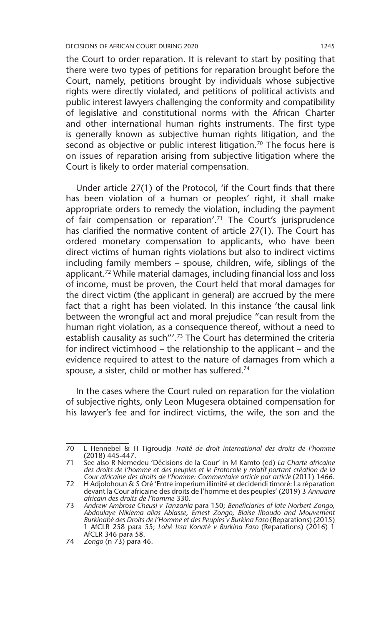the Court to order reparation. It is relevant to start by positing that there were two types of petitions for reparation brought before the Court, namely, petitions brought by individuals whose subjective rights were directly violated, and petitions of political activists and public interest lawyers challenging the conformity and compatibility of legislative and constitutional norms with the African Charter and other international human rights instruments. The first type is generally known as subjective human rights litigation, and the second as objective or public interest litigation.<sup>70</sup> The focus here is on issues of reparation arising from subjective litigation where the Court is likely to order material compensation.

Under article 27(1) of the Protocol, 'if the Court finds that there has been violation of a human or peoples' right, it shall make appropriate orders to remedy the violation, including the payment of fair compensation or reparation'.71 The Court's jurisprudence has clarified the normative content of article 27(1). The Court has ordered monetary compensation to applicants, who have been direct victims of human rights violations but also to indirect victims including family members – spouse, children, wife, siblings of the applicant.72 While material damages, including financial loss and loss of income, must be proven, the Court held that moral damages for the direct victim (the applicant in general) are accrued by the mere fact that a right has been violated. In this instance 'the causal link between the wrongful act and moral prejudice "can result from the human right violation, as a consequence thereof, without a need to establish causality as such"'.73 The Court has determined the criteria for indirect victimhood – the relationship to the applicant – and the evidence required to attest to the nature of damages from which a spouse, a sister, child or mother has suffered.<sup>74</sup>

In the cases where the Court ruled on reparation for the violation of subjective rights, only Leon Mugesera obtained compensation for his lawyer's fee and for indirect victims, the wife, the son and the

<sup>70</sup> L Hennebel & H Tigroudja *Traité de droit international des droits de l'homme* (2018) 445-447.

<sup>71</sup> See also R Nemedeu 'Décisions de la Cour' in M Kamto (ed) *La Charte africaine des droits de l'homme et des peuples et le Protocole y relatif portant création de la Cour africaine des droits de l'homme: Commentaire article par article* (2011) 1466.

<sup>72</sup> H Adjolohoun & S Oré 'Entre imperium illimité et decidendi timoré: La réparation devant la Cour africaine des droits de l'homme et des peuples' (2019) 3 *Annuaire africain des droits de l'homme* 330.

<sup>73</sup> *Andrew Ambrose Cheusi v Tanzania* para 150; *Beneficiaries of late Norbert Zongo, Abdoulaye Nikiema alias Ablasse, Ernest Zongo, Blaise Ilboudo and Mouvement Burkinabè des Droits de l'Homme et des Peuples v Burkina Faso* (Reparations) (2015) 1 AfCLR 258 para 55; *Lohé Issa Konaté v Burkina Faso* (Reparations) (2016) 1 AfCLR 346 para 58.

<sup>74</sup> *Zongo* (n 73) para 46.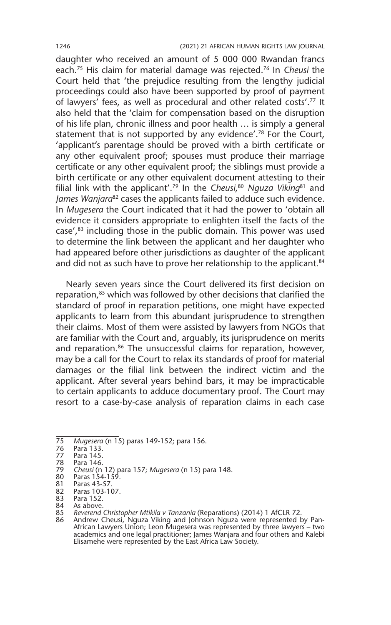daughter who received an amount of 5 000 000 Rwandan francs each.75 His claim for material damage was rejected.76 In *Cheusi* the Court held that 'the prejudice resulting from the lengthy judicial proceedings could also have been supported by proof of payment of lawyers' fees, as well as procedural and other related costs'.77 It also held that the 'claim for compensation based on the disruption of his life plan, chronic illness and poor health … is simply a general statement that is not supported by any evidence'.<sup>78</sup> For the Court, 'applicant's parentage should be proved with a birth certificate or any other equivalent proof; spouses must produce their marriage certificate or any other equivalent proof; the siblings must provide a birth certificate or any other equivalent document attesting to their filial link with the applicant'.79 In the *Cheusi*, <sup>80</sup> *Nguza Viking*81 and James Wanjara<sup>82</sup> cases the applicants failed to adduce such evidence. In *Mugesera* the Court indicated that it had the power to 'obtain all evidence it considers appropriate to enlighten itself the facts of the case',<sup>83</sup> including those in the public domain. This power was used to determine the link between the applicant and her daughter who had appeared before other jurisdictions as daughter of the applicant and did not as such have to prove her relationship to the applicant.<sup>84</sup>

Nearly seven years since the Court delivered its first decision on reparation,<sup>85</sup> which was followed by other decisions that clarified the standard of proof in reparation petitions, one might have expected applicants to learn from this abundant jurisprudence to strengthen their claims. Most of them were assisted by lawyers from NGOs that are familiar with the Court and, arguably, its jurisprudence on merits and reparation.<sup>86</sup> The unsuccessful claims for reparation, however, may be a call for the Court to relax its standards of proof for material damages or the filial link between the indirect victim and the applicant. After several years behind bars, it may be impracticable to certain applicants to adduce documentary proof. The Court may resort to a case-by-case analysis of reparation claims in each case

<sup>75</sup> *Mugesera* (n 15) paras 149-152; para 156.

<sup>76</sup> Para 133.

<sup>77</sup> Para 145.

<sup>78</sup> Para 146.<br>79 Cheusi (n 79 *Cheusi* (n 12) para 157; *Mugesera* (n 15) para 148.

<sup>80</sup> Paras 154-159.<br>81 Paras 43-57.

<sup>81</sup> Paras 43-57.

<sup>82</sup> Paras 103-107.<br>83 Para 152.

<sup>83</sup> Para 152.

<sup>84</sup> As above.<br>85 Reverend

<sup>85</sup> *Reverend Christopher Mtikila v Tanzania* (Reparations) (2014) 1 AfCLR 72. 86 Andrew Cheusi, Nguza Viking and Johnson Nguza were represented by Pan-African Lawyers Union; Leon Mugesera was represented by three lawyers – two academics and one legal practitioner; James Wanjara and four others and Kalebi Elisamehe were represented by the East Africa Law Society.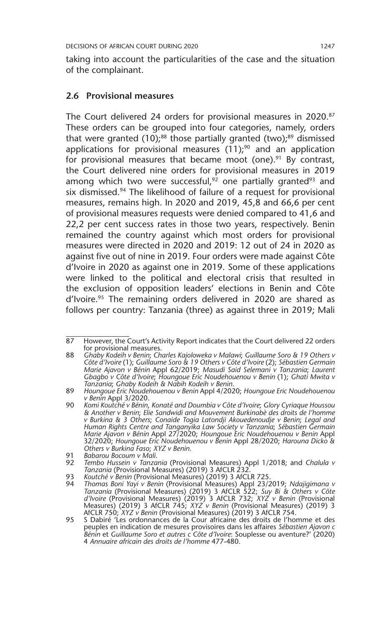taking into account the particularities of the case and the situation of the complainant.

#### **2.6 Provisional measures**

The Court delivered 24 orders for provisional measures in 2020.<sup>87</sup> These orders can be grouped into four categories, namely, orders that were granted  $(10)$ ;<sup>88</sup> those partially granted (two);<sup>89</sup> dismissed applications for provisional measures  $(11);^{90}$  and an application for provisional measures that became moot (one). $91$  By contrast, the Court delivered nine orders for provisional measures in 2019 among which two were successful,<sup>92</sup> one partially granted<sup>93</sup> and six dismissed.<sup>94</sup> The likelihood of failure of a request for provisional measures, remains high. In 2020 and 2019, 45,8 and 66,6 per cent of provisional measures requests were denied compared to 41,6 and 22,2 per cent success rates in those two years, respectively. Benin remained the country against which most orders for provisional measures were directed in 2020 and 2019: 12 out of 24 in 2020 as against five out of nine in 2019. Four orders were made against Côte d'Ivoire in 2020 as against one in 2019. Some of these applications were linked to the political and electoral crisis that resulted in the exclusion of opposition leaders' elections in Benin and Côte d'Ivoire.<sup>95</sup> The remaining orders delivered in 2020 are shared as follows per country: Tanzania (three) as against three in 2019; Mali

<sup>87</sup> However, the Court's Activity Report indicates that the Court delivered 22 orders for provisional measures.

<sup>88</sup> *Ghaby Kodeih v Benin*; *Charles Kajoloweka v Malawi*; *Guillaume Soro & 19 Others v Côte d'Ivoire* (1); *Guillaume Soro & 19 Others v Côte d'Ivoire* (2); *Sébastien Germain Marie Ajavon v Bénin* Appl 62/2019; *Masudi Said Selemani v Tanzania*; *Laurent Gbagbo v Côte d'Ivoire*; *Houngoue Eric Noudehouenou v Benin* (1); *Ghati Mwita v Tanzania*; *Ghaby Kodeih & Nabih Kodeih v Benin*.

<sup>89</sup> *Houngoue Eric Noudehouenou v Benin* Appl 4/2020; *Houngoue Eric Noudehouenou v Benin* Appl 3/2020.

<sup>90</sup> *Komi Koutché v Bénin*, *Konaté and Doumbia v Côte d'Ivoire*; *Glory Cyriaque Houssou & Another v Benin*; *Elie Sandwidi and Mouvement Burkinabè des droits de l'homme v Burkina & 3 Others*; *Conaide Togia Latondji Akouedenoudje v Benin*; *Legal and Human Rights Centre and Tanganyika Law Society v Tanzania*; *Sébastien Germain Marie Ajavon v Bénin* Appl 27/2020; *Houngoue Eric Noudehouenou v Benin* Appl 32/2020; *Houngoue Eric Noudehouenou v Benin* Appl 28/2020; *Harouna Dicko & Others v Burkina Faso*; *XYZ v Benin*.

<sup>91</sup> *Babarou Bocoum v Mali*.

<sup>92</sup> *Tembo Hussein v Tanzania* (Provisional Measures) Appl 1/2018; and *Chalula v Tanzania* (Provisional Measures) (2019) 3 AfCLR 232.

<sup>93</sup> *Koutché v Benin* (Provisional Measures) (2019) 3 AfCLR 725.

<sup>94</sup> *Thomas Boni Yayi v Benin* (Provisional Measures) Appl 23/2019; *Ndajigimana v Tanzania* (Provisional Measures) (2019) 3 AfCLR 522; *Suy Bi & Others v Côte d'Ivoire* (Provisional Measures) (2019) 3 AfCLR 732; *XYZ v Benin* (Provisional Measures) (2019) 3 AfCLR 745; *XYZ v Benin* (Provisional Measures) (2019) 3 AfCLR 750; *XYZ v Benin* (Provisional Measures) (2019) 3 AfCLR 754.

<sup>95</sup> S Dabiré 'Les ordonnances de la Cour africaine des droits de l'homme et des peuples en indication de mesures provisoires dans les affaires *Sébastien Ajavon c Bénin* et *Guillaume Soro et autres c Côte d'Ivoire*: Souplesse ou aventure?' (2020) 4 *Annuaire africain des droits de l'homme* 477-480.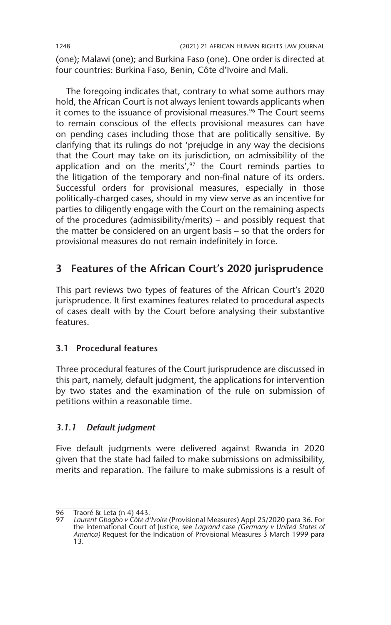(one); Malawi (one); and Burkina Faso (one). One order is directed at four countries: Burkina Faso, Benin, Côte d'Ivoire and Mali.

The foregoing indicates that, contrary to what some authors may hold, the African Court is not always lenient towards applicants when it comes to the issuance of provisional measures.<sup>96</sup> The Court seems to remain conscious of the effects provisional measures can have on pending cases including those that are politically sensitive. By clarifying that its rulings do not 'prejudge in any way the decisions that the Court may take on its jurisdiction, on admissibility of the application and on the merits', $97$  the Court reminds parties to the litigation of the temporary and non-final nature of its orders. Successful orders for provisional measures, especially in those politically-charged cases, should in my view serve as an incentive for parties to diligently engage with the Court on the remaining aspects of the procedures (admissibility/merits) – and possibly request that the matter be considered on an urgent basis – so that the orders for provisional measures do not remain indefinitely in force.

## **3 Features of the African Court's 2020 jurisprudence**

This part reviews two types of features of the African Court's 2020 jurisprudence. It first examines features related to procedural aspects of cases dealt with by the Court before analysing their substantive features.

## **3.1 Procedural features**

Three procedural features of the Court jurisprudence are discussed in this part, namely, default judgment, the applications for intervention by two states and the examination of the rule on submission of petitions within a reasonable time.

## *3.1.1 Default judgment*

Five default judgments were delivered against Rwanda in 2020 given that the state had failed to make submissions on admissibility, merits and reparation. The failure to make submissions is a result of

<sup>96</sup> Traoré & Leta (n 4) 443.<br>97 Laurent Ghagho y Côte d'

<sup>97</sup> *Laurent Gbagbo v Côte d'Ivoire* (Provisional Measures) Appl 25/2020 para 36. For the International Court of Justice, see *Lagrand* case *(Germany v United States of America)* Request for the Indication of Provisional Measures 3 March 1999 para 13.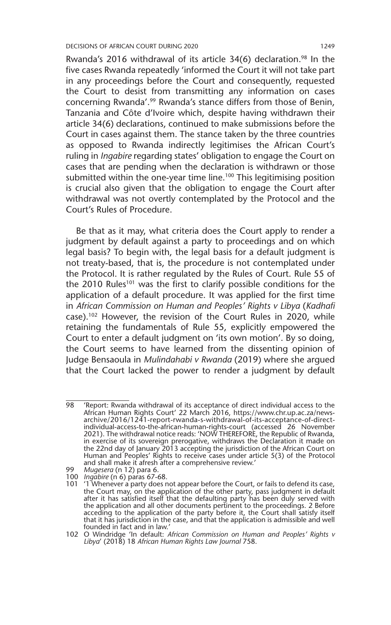Rwanda's 2016 withdrawal of its article  $34(6)$  declaration.<sup>98</sup> In the five cases Rwanda repeatedly 'informed the Court it will not take part in any proceedings before the Court and consequently, requested the Court to desist from transmitting any information on cases concerning Rwanda'.<sup>99</sup> Rwanda's stance differs from those of Benin, Tanzania and Côte d'Ivoire which, despite having withdrawn their article 34(6) declarations, continued to make submissions before the Court in cases against them. The stance taken by the three countries as opposed to Rwanda indirectly legitimises the African Court's ruling in *Ingabire* regarding states' obligation to engage the Court on cases that are pending when the declaration is withdrawn or those submitted within the one-year time line.<sup>100</sup> This legitimising position is crucial also given that the obligation to engage the Court after withdrawal was not overtly contemplated by the Protocol and the Court's Rules of Procedure.

Be that as it may, what criteria does the Court apply to render a judgment by default against a party to proceedings and on which legal basis? To begin with, the legal basis for a default judgment is not treaty-based, that is, the procedure is not contemplated under the Protocol. It is rather regulated by the Rules of Court. Rule 55 of the 2010 Rules<sup>101</sup> was the first to clarify possible conditions for the application of a default procedure. It was applied for the first time in *African Commission on Human and Peoples' Rights v Libya* (*Kadhafi* case).102 However, the revision of the Court Rules in 2020, while retaining the fundamentals of Rule 55, explicitly empowered the Court to enter a default judgment on 'its own motion'. By so doing, the Court seems to have learned from the dissenting opinion of Judge Bensaoula in *Mulindahabi v Rwanda* (2019) where she argued that the Court lacked the power to render a judgment by default

<sup>98 &#</sup>x27;Report: Rwanda withdrawal of its acceptance of direct individual access to the African Human Rights Court' 22 March 2016, https://www.chr.up.ac.za/newsarchive/2016/1241-report-rwanda-s-withdrawal-of-its-acceptance-of-directindividual-access-to-the-african-human-rights-court (accessed 26 November 2021). The withdrawal notice reads: 'NOW THEREFORE, the Republic of Rwanda, in exercise of its sovereign prerogative, withdraws the Declaration it made on the 22nd day of January 2013 accepting the jurisdiction of the African Court on Human and Peoples' Rights to receive cases under article 5(3) of the Protocol and shall make it afresh after a comprehensive review.'

<sup>99</sup> *Mugesera* (n 12) para 6.

<sup>100</sup> *Ingabire* (n 6) paras 67-68.

<sup>101</sup> '1 Whenever a party does not appear before the Court, or fails to defend its case, the Court may, on the application of the other party, pass judgment in default after it has satisfied itself that the defaulting party has been duly served with the application and all other documents pertinent to the proceedings. 2 Before<br>acceding to the application of the party before it, the Court shall satisfy itself<br>that it has jurisdiction in the case, and that the applicati founded in fact and in law.'

<sup>102</sup> O Windridge 'In default: *African Commission on Human and Peoples' Rights v Libya*' (2018) 18 *African Human Rights Law Journal* 758.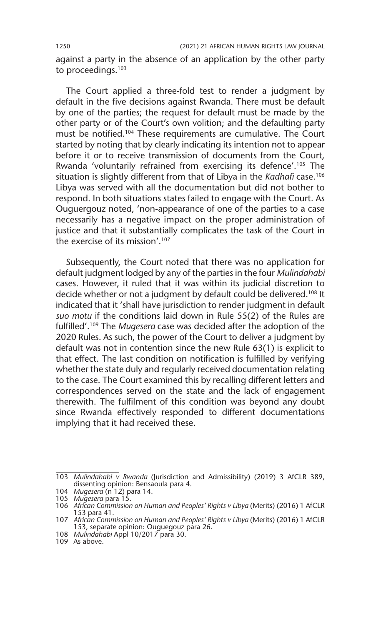against a party in the absence of an application by the other party to proceedings.<sup>103</sup>

The Court applied a three-fold test to render a judgment by default in the five decisions against Rwanda. There must be default by one of the parties; the request for default must be made by the other party or of the Court's own volition; and the defaulting party must be notified.104 These requirements are cumulative. The Court started by noting that by clearly indicating its intention not to appear before it or to receive transmission of documents from the Court, Rwanda 'voluntarily refrained from exercising its defence'.<sup>105</sup> The situation is slightly different from that of Libya in the Kadhafi case.<sup>106</sup> Libya was served with all the documentation but did not bother to respond. In both situations states failed to engage with the Court. As Ouguergouz noted, 'non-appearance of one of the parties to a case necessarily has a negative impact on the proper administration of justice and that it substantially complicates the task of the Court in the exercise of its mission'.107

Subsequently, the Court noted that there was no application for default judgment lodged by any of the parties in the four *Mulindahabi*  cases. However, it ruled that it was within its judicial discretion to decide whether or not a judgment by default could be delivered.<sup>108</sup> It indicated that it 'shall have jurisdiction to render judgment in default *suo motu* if the conditions laid down in Rule 55(2) of the Rules are fulfilled'.109 The *Mugesera* case was decided after the adoption of the 2020 Rules. As such, the power of the Court to deliver a judgment by default was not in contention since the new Rule 63(1) is explicit to that effect. The last condition on notification is fulfilled by verifying whether the state duly and regularly received documentation relating to the case. The Court examined this by recalling different letters and correspondences served on the state and the lack of engagement therewith. The fulfilment of this condition was beyond any doubt since Rwanda effectively responded to different documentations implying that it had received these.

<sup>103</sup> *Mulindahabi v Rwanda* (Jurisdiction and Admissibility) (2019) 3 AfCLR 389, dissenting opinion: Bensaoula para 4.

<sup>104</sup> *Mugesera* (n 12) para 14. 105 *Mugesera* para 15.

<sup>106</sup> *African Commission on Human and Peoples' Rights v Libya* (Merits) (2016) 1 AfCLR 153 para 41.

<sup>107</sup> *African Commission on Human and Peoples' Rights v Libya* (Merits) (2016) 1 AfCLR 153, separate opinion: Ouguegouz para 26.

<sup>108</sup> *Mulindahabi* Appl 10/2017 para 30.

<sup>109</sup> As above.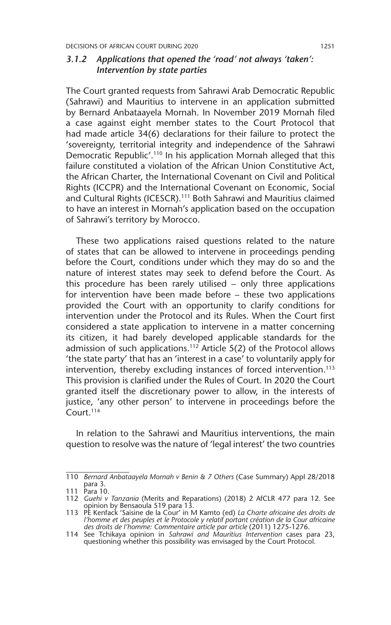## *3.1.2 Applications that opened the 'road' not always 'taken': Intervention by state parties*

The Court granted requests from Sahrawi Arab Democratic Republic (Sahrawi) and Mauritius to intervene in an application submitted by Bernard Anbataayela Mornah. In November 2019 Mornah filed a case against eight member states to the Court Protocol that had made article 34(6) declarations for their failure to protect the 'sovereignty, territorial integrity and independence of the Sahrawi Democratic Republic'.<sup>110</sup> In his application Mornah alleged that this failure constituted a violation of the African Union Constitutive Act, the African Charter, the International Covenant on Civil and Political Rights (ICCPR) and the International Covenant on Economic, Social and Cultural Rights (ICESCR).<sup>111</sup> Both Sahrawi and Mauritius claimed to have an interest in Mornah's application based on the occupation of Sahrawi's territory by Morocco.

These two applications raised questions related to the nature of states that can be allowed to intervene in proceedings pending before the Court, conditions under which they may do so and the nature of interest states may seek to defend before the Court. As this procedure has been rarely utilised – only three applications for intervention have been made before – these two applications provided the Court with an opportunity to clarify conditions for intervention under the Protocol and its Rules. When the Court first considered a state application to intervene in a matter concerning its citizen, it had barely developed applicable standards for the admission of such applications.<sup>112</sup> Article 5(2) of the Protocol allows 'the state party' that has an 'interest in a case' to voluntarily apply for intervention, thereby excluding instances of forced intervention.<sup>113</sup> This provision is clarified under the Rules of Court. In 2020 the Court granted itself the discretionary power to allow, in the interests of justice, 'any other person' to intervene in proceedings before the Court.114

In relation to the Sahrawi and Mauritius interventions, the main question to resolve was the nature of 'legal interest' the two countries

<sup>110</sup> *Bernard Anbataayela Mornah v Benin & 7 Others* (Case Summary) Appl 28/2018 para 3.

<sup>111</sup> Para 10.

<sup>112</sup> *Guehi v Tanzania* (Merits and Reparations) (2018) 2 AfCLR 477 para 12. See opinion by Bensaoula 519 para 13. 113 PE Kenfack 'Saisine de la Cour' in M Kamto (ed) *La Charte africaine des droits de* 

*l'homme et des peuples et le Protocole y relatif portant création de la Cour africaine des droits de l'homme: Commentaire article par article* (2011) 1275-1276.

<sup>114</sup> See Tchikaya opinion in *Sahrawi and Mauritius Intervention* cases para 23, questioning whether this possibility was envisaged by the Court Protocol.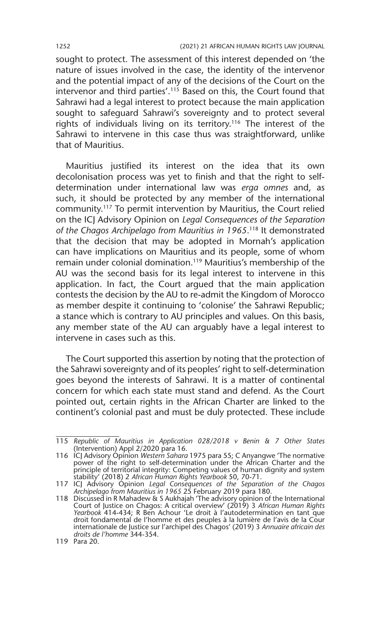sought to protect. The assessment of this interest depended on 'the nature of issues involved in the case, the identity of the intervenor and the potential impact of any of the decisions of the Court on the intervenor and third parties'.115 Based on this, the Court found that Sahrawi had a legal interest to protect because the main application sought to safeguard Sahrawi's sovereignty and to protect several rights of individuals living on its territory.<sup>116</sup> The interest of the Sahrawi to intervene in this case thus was straightforward, unlike that of Mauritius.

Mauritius justified its interest on the idea that its own decolonisation process was yet to finish and that the right to selfdetermination under international law was *erga omnes* and, as such, it should be protected by any member of the international community.117 To permit intervention by Mauritius, the Court relied on the ICJ Advisory Opinion on *Legal Consequences of the Separation of the Chagos Archipelago from Mauritius in 1965*. 118 It demonstrated that the decision that may be adopted in Mornah's application can have implications on Mauritius and its people, some of whom remain under colonial domination.119 Mauritius's membership of the AU was the second basis for its legal interest to intervene in this application. In fact, the Court argued that the main application contests the decision by the AU to re-admit the Kingdom of Morocco as member despite it continuing to 'colonise' the Sahrawi Republic; a stance which is contrary to AU principles and values. On this basis, any member state of the AU can arguably have a legal interest to intervene in cases such as this.

The Court supported this assertion by noting that the protection of the Sahrawi sovereignty and of its peoples' right to self-determination goes beyond the interests of Sahrawi. It is a matter of continental concern for which each state must stand and defend. As the Court pointed out, certain rights in the African Charter are linked to the continent's colonial past and must be duly protected. These include

<sup>115</sup> *Republic of Mauritius in Application 028/2018 v Benin & 7 Other States*  (Intervention) Appl 2/2020 para 16.

<sup>116</sup> ICJ Advisory Opinion *Western Sahara* 1975 para 55; C Anyangwe 'The normative power of the right to self-determination under the African Charter and the principle of territorial integrity: Competing values of human dignity and system stability' (2018) 2 *African Human Rights Yearbook* 50, 70-71.

<sup>117</sup> ICJ Advisory Opinion *Legal Consequences of the Separation of the Chagos Archipelago from Mauritius in 1965* 25 February 2019 para 180.

<sup>118</sup> Discussed in R Mahadew & S Aukhajah 'The advisory opinion of the International Court of Justice on Chagos: A critical overview' (2019) 3 *African Human Rights*<br>*Yearbook 4*14-434; R Ben Achour 'Le droit à l'autodetermination en tant que<br>droit fondamental de l'homme et des peuples à la lumière de l'av internationale de Justice sur l'archipel des Chagos' (2019) 3 *Annuaire africain des droits de l'homme* 344-354.

<sup>119</sup> Para 20.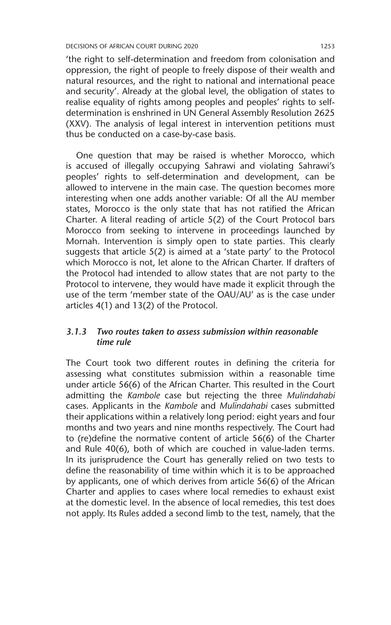'the right to self-determination and freedom from colonisation and oppression, the right of people to freely dispose of their wealth and natural resources, and the right to national and international peace and security'. Already at the global level, the obligation of states to realise equality of rights among peoples and peoples' rights to selfdetermination is enshrined in UN General Assembly Resolution 2625 (XXV). The analysis of legal interest in intervention petitions must thus be conducted on a case-by-case basis.

One question that may be raised is whether Morocco, which is accused of illegally occupying Sahrawi and violating Sahrawi's peoples' rights to self-determination and development, can be allowed to intervene in the main case. The question becomes more interesting when one adds another variable: Of all the AU member states, Morocco is the only state that has not ratified the African Charter. A literal reading of article 5(2) of the Court Protocol bars Morocco from seeking to intervene in proceedings launched by Mornah. Intervention is simply open to state parties. This clearly suggests that article 5(2) is aimed at a 'state party' to the Protocol which Morocco is not, let alone to the African Charter. If drafters of the Protocol had intended to allow states that are not party to the Protocol to intervene, they would have made it explicit through the use of the term 'member state of the OAU/AU' as is the case under articles 4(1) and 13(2) of the Protocol.

## *3.1.3 Two routes taken to assess submission within reasonable time rule*

The Court took two different routes in defining the criteria for assessing what constitutes submission within a reasonable time under article 56(6) of the African Charter. This resulted in the Court admitting the *Kambole* case but rejecting the three *Mulindahabi*  cases. Applicants in the *Kambole* and *Mulindahabi* cases submitted their applications within a relatively long period: eight years and four months and two years and nine months respectively. The Court had to (re)define the normative content of article 56(6) of the Charter and Rule 40(6), both of which are couched in value-laden terms. In its jurisprudence the Court has generally relied on two tests to define the reasonability of time within which it is to be approached by applicants, one of which derives from article 56(6) of the African Charter and applies to cases where local remedies to exhaust exist at the domestic level. In the absence of local remedies, this test does not apply. Its Rules added a second limb to the test, namely, that the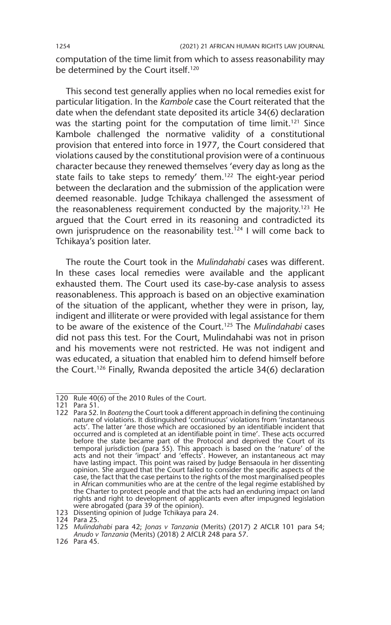computation of the time limit from which to assess reasonability may be determined by the Court itself.<sup>120</sup>

This second test generally applies when no local remedies exist for particular litigation. In the *Kambole* case the Court reiterated that the date when the defendant state deposited its article 34(6) declaration was the starting point for the computation of time limit.<sup>121</sup> Since Kambole challenged the normative validity of a constitutional provision that entered into force in 1977, the Court considered that violations caused by the constitutional provision were of a continuous character because they renewed themselves 'every day as long as the state fails to take steps to remedy' them.<sup>122</sup> The eight-year period between the declaration and the submission of the application were deemed reasonable. Judge Tchikaya challenged the assessment of the reasonableness requirement conducted by the majority.123 He argued that the Court erred in its reasoning and contradicted its own jurisprudence on the reasonability test.<sup>124</sup> I will come back to Tchikaya's position later.

The route the Court took in the *Mulindahabi* cases was different. In these cases local remedies were available and the applicant exhausted them. The Court used its case-by-case analysis to assess reasonableness. This approach is based on an objective examination of the situation of the applicant, whether they were in prison, lay, indigent and illiterate or were provided with legal assistance for them to be aware of the existence of the Court.125 The *Mulindahabi* cases did not pass this test. For the Court, Mulindahabi was not in prison and his movements were not restricted. He was not indigent and was educated, a situation that enabled him to defend himself before the Court.126 Finally, Rwanda deposited the article 34(6) declaration

126 Para 45.

<sup>120</sup> Rule 40(6) of the 2010 Rules of the Court.

<sup>121</sup> Para 51.

<sup>122</sup> Para 52. In *Boateng* the Court took a different approach in defining the continuing nature of violations. It distinguished 'continuous' violations from 'instantaneous acts'. The latter 'are those which are occasioned by an identifiable incident that occurred and is completed at an identifiable point in time'. These acts occurred before the state became part of the Protocol and deprived the Court of its temporal jurisdiction (para 55). This approach is based on the 'nature' of the acts and not their 'impact' and 'effects'. However, an instantaneous act may have lasting impact. This point was raised by Judge Bensaoula in her dissenting opinion. She argued that the Court failed to consider the specific aspects of the case, the fact that the case pertains to the rights of the most marginalised peoples in African communities who are at the centre of the legal regime established by the Charter to protect people and that the acts had an enduring impact on land rights and right to development of applicants even after impugned legislation were abrogated (para 39 of the opinion).

<sup>123</sup> Dissenting opinion of Judge Tchikaya para 24.

<sup>124</sup> Para 25.

<sup>125</sup> *Mulindahabi* para 42; *Jonas v Tanzania* (Merits) (2017) 2 AfCLR 101 para 54; *Anudo v Tanzania* (Merits) (2018) 2 AfCLR 248 para 57.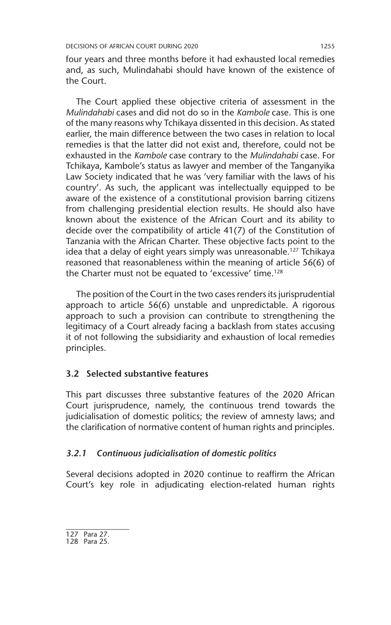four years and three months before it had exhausted local remedies and, as such, Mulindahabi should have known of the existence of the Court.

The Court applied these objective criteria of assessment in the *Mulindahabi* cases and did not do so in the *Kambole* case. This is one of the many reasons why Tchikaya dissented in this decision. As stated earlier, the main difference between the two cases in relation to local remedies is that the latter did not exist and, therefore, could not be exhausted in the *Kambole* case contrary to the *Mulindahabi* case. For Tchikaya, Kambole's status as lawyer and member of the Tanganyika Law Society indicated that he was 'very familiar with the laws of his country'. As such, the applicant was intellectually equipped to be aware of the existence of a constitutional provision barring citizens from challenging presidential election results. He should also have known about the existence of the African Court and its ability to decide over the compatibility of article 41(7) of the Constitution of Tanzania with the African Charter. These objective facts point to the idea that a delay of eight years simply was unreasonable.<sup>127</sup> Tchikaya reasoned that reasonableness within the meaning of article 56(6) of the Charter must not be equated to 'excessive' time.128

The position of the Court in the two cases renders its jurisprudential approach to article 56(6) unstable and unpredictable. A rigorous approach to such a provision can contribute to strengthening the legitimacy of a Court already facing a backlash from states accusing it of not following the subsidiarity and exhaustion of local remedies principles.

## **3.2 Selected substantive features**

This part discusses three substantive features of the 2020 African Court jurisprudence, namely, the continuous trend towards the judicialisation of domestic politics; the review of amnesty laws; and the clarification of normative content of human rights and principles.

## *3.2.1 Continuous judicialisation of domestic politics*

Several decisions adopted in 2020 continue to reaffirm the African Court's key role in adjudicating election-related human rights

<sup>127</sup> Para 27.

<sup>128</sup> Para 25.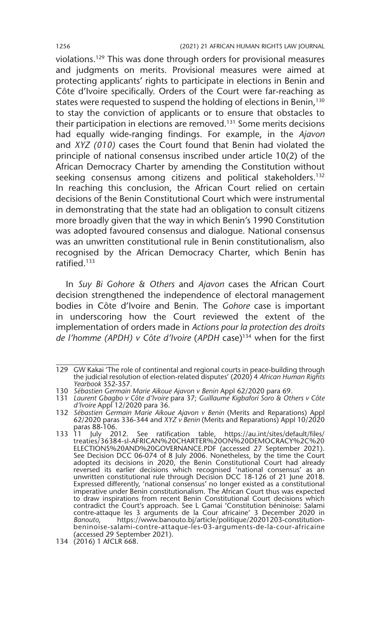violations.129 This was done through orders for provisional measures and judgments on merits. Provisional measures were aimed at protecting applicants' rights to participate in elections in Benin and Côte d'Ivoire specifically. Orders of the Court were far-reaching as states were requested to suspend the holding of elections in Benin,<sup>130</sup> to stay the conviction of applicants or to ensure that obstacles to their participation in elections are removed.131 Some merits decisions had equally wide-ranging findings. For example, in the *Ajavon*  and *XYZ (010)* cases the Court found that Benin had violated the principle of national consensus inscribed under article 10(2) of the African Democracy Charter by amending the Constitution without seeking consensus among citizens and political stakeholders.<sup>132</sup> In reaching this conclusion, the African Court relied on certain decisions of the Benin Constitutional Court which were instrumental in demonstrating that the state had an obligation to consult citizens more broadly given that the way in which Benin's 1990 Constitution was adopted favoured consensus and dialogue. National consensus was an unwritten constitutional rule in Benin constitutionalism, also recognised by the African Democracy Charter, which Benin has ratified.133

In *Suy Bi Gohore & Others* and *Ajavon* cases the African Court decision strengthened the independence of electoral management bodies in Côte d'Ivoire and Benin. The *Gohore* case is important in underscoring how the Court reviewed the extent of the implementation of orders made in *Actions pour la protection des droits de l'homme (APDH) v Côte d'Ivoire* (*APDH* case)134 when for the first

<sup>129</sup> GW Kakai 'The role of continental and regional courts in peace-building through the judicial resolution of election-related disputes' (2020) 4 *African Human Rights Yearbook* 352-357.

<sup>130</sup> *Sébastien Germain Marie Aïkoue Ajavon v Benin* Appl 62/2020 para 69.

<sup>131</sup> *Laurent Gbagbo v Côte d'Ivoire* para 37; *Guillaume Kigbafori Soro & Others v Côte d'Ivoire* Appl 12/2020 para 36.

<sup>132</sup> *Sébastien Germain Marie Aïkoue Ajavon v Benin* (Merits and Reparations) Appl 62/2020 paras 336-344 and *XYZ v Benin* (Merits and Reparations) Appl 10/2020 paras 88-106.

<sup>133</sup> 11 July 2012. See ratification table, https://au.int/sites/default/files/ treaties/36384-sl-AFRICAN%20CHARTER%20ON%20DEMOCRACY%2C%20 ELECTIONS%20AND%20GOVERNANCE.PDF (accessed 27 September 2021). See Decision DCC 06-074 of 8 July 2006. Nonetheless, by the time the Court adopted its decisions in 2020, the Benin Constitutional Court had already reversed its earlier decisions which recognised 'national consensus' as an unwritten constitutional rule through Decision DCC 18-126 of 21 June 2018. Expressed differently, 'national consensus' no longer existed as a constitutional imperative under Benin constitutionalism. The African Court thus was expected to draw inspirations from recent Benin Constitutional Court decisions which contradict the Court's approach. See L Gamai 'Constitution béninoise: Salami<br>contre-attaque les 3 arguments de la Cour africaine' 3 December 2020 in<br>*Banouto,* https://www.banouto.bj/article/politique/20201203-constitu beninoise-salami-contre-attaque-les-03-arguments-de-la-cour-africaine (accessed 29 September 2021).

<sup>134</sup> (2016) 1 AfCLR 668.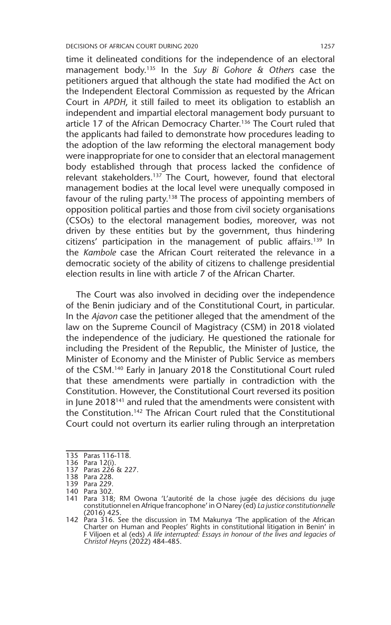time it delineated conditions for the independence of an electoral management body.135 In the *Suy Bi Gohore & Others* case the petitioners argued that although the state had modified the Act on the Independent Electoral Commission as requested by the African Court in *APDH*, it still failed to meet its obligation to establish an independent and impartial electoral management body pursuant to article 17 of the African Democracy Charter.<sup>136</sup> The Court ruled that the applicants had failed to demonstrate how procedures leading to the adoption of the law reforming the electoral management body were inappropriate for one to consider that an electoral management body established through that process lacked the confidence of relevant stakeholders.<sup>137</sup> The Court, however, found that electoral management bodies at the local level were unequally composed in favour of the ruling party.<sup>138</sup> The process of appointing members of opposition political parties and those from civil society organisations (CSOs) to the electoral management bodies, moreover, was not driven by these entities but by the government, thus hindering citizens' participation in the management of public affairs.<sup>139</sup> In the *Kambole* case the African Court reiterated the relevance in a democratic society of the ability of citizens to challenge presidential election results in line with article 7 of the African Charter.

The Court was also involved in deciding over the independence of the Benin judiciary and of the Constitutional Court, in particular. In the *Ajavon* case the petitioner alleged that the amendment of the law on the Supreme Council of Magistracy (CSM) in 2018 violated the independence of the judiciary. He questioned the rationale for including the President of the Republic, the Minister of Justice, the Minister of Economy and the Minister of Public Service as members of the CSM.140 Early in January 2018 the Constitutional Court ruled that these amendments were partially in contradiction with the Constitution. However, the Constitutional Court reversed its position in June 2018<sup>141</sup> and ruled that the amendments were consistent with the Constitution.142 The African Court ruled that the Constitutional Court could not overturn its earlier ruling through an interpretation

<sup>135</sup> Paras 116-118.

<sup>136</sup> Para 12(i).

<sup>137</sup> Paras 226 & 227.

<sup>138</sup> Para 228.

<sup>139</sup> Para 229.

<sup>140</sup> Para 302.

<sup>141</sup> Para 318; RM Owona 'L'autorité de la chose jugée des décisions du juge constitutionnel en Afrique francophone' in O Narey (ed) *La justice constitutionnelle*  (2016) 425.

<sup>142</sup> Para 316. See the discussion in TM Makunya 'The application of the African Charter on Human and Peoples' Rights in constitutional litigation in Benin' in F Viljoen et al (eds) *A life interrupted: Essays in honour of the lives and legacies of Christof Heyns* (2022) 484-485.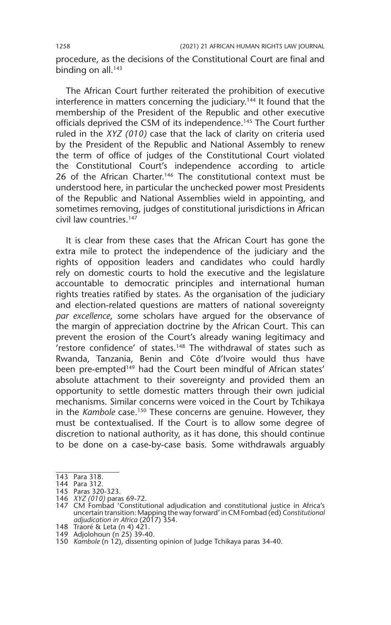procedure, as the decisions of the Constitutional Court are final and binding on all.<sup>143</sup>

The African Court further reiterated the prohibition of executive interference in matters concerning the judiciary.144 It found that the membership of the President of the Republic and other executive officials deprived the CSM of its independence.<sup>145</sup> The Court further ruled in the *XYZ (010)* case that the lack of clarity on criteria used by the President of the Republic and National Assembly to renew the term of office of judges of the Constitutional Court violated the Constitutional Court's independence according to article 26 of the African Charter.<sup>146</sup> The constitutional context must be understood here, in particular the unchecked power most Presidents of the Republic and National Assemblies wield in appointing, and sometimes removing, judges of constitutional jurisdictions in African civil law countries.147

It is clear from these cases that the African Court has gone the extra mile to protect the independence of the judiciary and the rights of opposition leaders and candidates who could hardly rely on domestic courts to hold the executive and the legislature accountable to democratic principles and international human rights treaties ratified by states. As the organisation of the judiciary and election-related questions are matters of national sovereignty *par excellence*, some scholars have argued for the observance of the margin of appreciation doctrine by the African Court. This can prevent the erosion of the Court's already waning legitimacy and  $\frac{1}{10}$  restore confidence' of states.<sup>148</sup> The withdrawal of states such as Rwanda, Tanzania, Benin and Côte d'Ivoire would thus have been pre-empted<sup>149</sup> had the Court been mindful of African states' absolute attachment to their sovereignty and provided them an opportunity to settle domestic matters through their own judicial mechanisms. Similar concerns were voiced in the Court by Tchikaya in the *Kambole* case.150 These concerns are genuine. However, they must be contextualised. If the Court is to allow some degree of discretion to national authority, as it has done, this should continue to be done on a case-by-case basis. Some withdrawals arguably

<sup>143</sup> Para 318.

<sup>144</sup> Para 312.

<sup>145</sup> Paras 320-323. 146 *XYZ (010)* paras 69-72.

<sup>147</sup> CM Fombad 'Constitutional adjudication and constitutional justice in Africa's uncertain transition: Mapping the way forward' in CM Fombad (ed) *Constitutional adjudication in Africa* (2017) 354.

<sup>148</sup> Traoré & Leta (n 4) 421.

<sup>149</sup> Adjolohoun (n 25) 39-40.

<sup>150</sup> *Kambole* (n 12), dissenting opinion of Judge Tchikaya paras 34-40.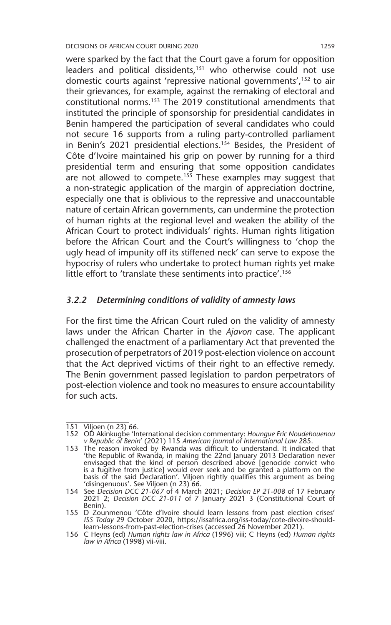were sparked by the fact that the Court gave a forum for opposition leaders and political dissidents,<sup>151</sup> who otherwise could not use domestic courts against 'repressive national governments',152 to air their grievances, for example, against the remaking of electoral and constitutional norms.153 The 2019 constitutional amendments that instituted the principle of sponsorship for presidential candidates in Benin hampered the participation of several candidates who could not secure 16 supports from a ruling party-controlled parliament in Benin's 2021 presidential elections.<sup>154</sup> Besides, the President of Côte d'Ivoire maintained his grip on power by running for a third presidential term and ensuring that some opposition candidates are not allowed to compete.<sup>155</sup> These examples may suggest that a non-strategic application of the margin of appreciation doctrine, especially one that is oblivious to the repressive and unaccountable nature of certain African governments, can undermine the protection of human rights at the regional level and weaken the ability of the African Court to protect individuals' rights. Human rights litigation before the African Court and the Court's willingness to 'chop the ugly head of impunity off its stiffened neck' can serve to expose the hypocrisy of rulers who undertake to protect human rights yet make little effort to 'translate these sentiments into practice'.<sup>156</sup>

#### *3.2.2 Determining conditions of validity of amnesty laws*

For the first time the African Court ruled on the validity of amnesty laws under the African Charter in the *Ajavon* case. The applicant challenged the enactment of a parliamentary Act that prevented the prosecution of perpetrators of 2019 post-election violence on account that the Act deprived victims of their right to an effective remedy. The Benin government passed legislation to pardon perpetrators of post-election violence and took no measures to ensure accountability for such acts.

<sup>151</sup> Viljoen (n 23) 66.

<sup>152</sup> OD Akinkugbe 'International decision commentary: *Houngue Eric Noudehouenou v Republic of Benin*' (2021) 115 *American Journal of International Law* 285.

<sup>153</sup> The reason invoked by Rwanda was difficult to understand. It indicated that 'the Republic of Rwanda, in making the 22nd January 2013 Declaration never envisaged that the kind of person described above [genocide convict who is a fugitive from justice] would ever seek and be granted a platform on the basis of the said Declaration'. Viljoen rightly qualifies this argument as being 'disingenuous'. See Viljoen (n 23) 66.

<sup>154</sup> See *Decision DCC 21-067* of 4 March 2021; *Decision EP 21-008* of 17 February 2021 2; *Decision DCC 21-011* of 7 January 2021 3 (Constitutional Court of Benin).

<sup>155</sup> D Zounmenou 'Côte d'Ivoire should learn lessons from past election crises' *ISS Today* 29 October 2020, https://issafrica.org/iss-today/cote-divoire-shouldlearn-lessons-from-past-election-crises (accessed 26 November 2021).

<sup>156</sup> C Heyns (ed) *Human rights law in Africa* (1996) viii; C Heyns (ed) *Human rights law in Africa* (1998) vii-viii.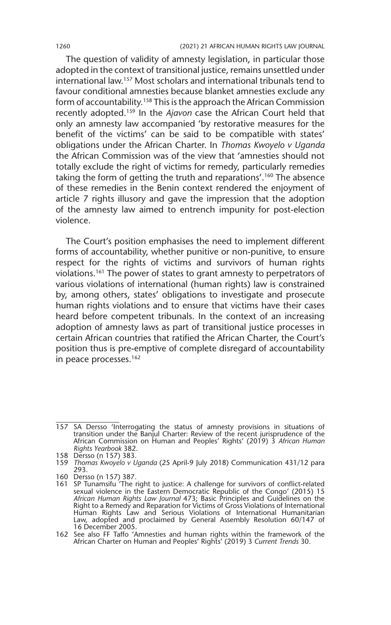The question of validity of amnesty legislation, in particular those adopted in the context of transitional justice, remains unsettled under international law.157 Most scholars and international tribunals tend to favour conditional amnesties because blanket amnesties exclude any form of accountability.158 This is the approach the African Commission recently adopted.159 In the *Ajavon* case the African Court held that only an amnesty law accompanied 'by restorative measures for the benefit of the victims' can be said to be compatible with states' obligations under the African Charter. In *Thomas Kwoyelo v Uganda*  the African Commission was of the view that 'amnesties should not totally exclude the right of victims for remedy, particularly remedies taking the form of getting the truth and reparations'.<sup>160</sup> The absence of these remedies in the Benin context rendered the enjoyment of article 7 rights illusory and gave the impression that the adoption of the amnesty law aimed to entrench impunity for post-election violence.

The Court's position emphasises the need to implement different forms of accountability, whether punitive or non-punitive, to ensure respect for the rights of victims and survivors of human rights violations.161 The power of states to grant amnesty to perpetrators of various violations of international (human rights) law is constrained by, among others, states' obligations to investigate and prosecute human rights violations and to ensure that victims have their cases heard before competent tribunals. In the context of an increasing adoption of amnesty laws as part of transitional justice processes in certain African countries that ratified the African Charter, the Court's position thus is pre-emptive of complete disregard of accountability in peace processes.<sup>162</sup>

<sup>157</sup> SA Dersso 'Interrogating the status of amnesty provisions in situations of transition under the Banjul Charter: Review of the recent jurisprudence of the African Commission on Human and Peoples' Rights' (2019) 3 *African Human Rights Yearbook* 382.

<sup>158</sup> Dersso (n 157) 383.

<sup>159</sup> *Thomas Kwoyelo v Uganda* (25 April-9 July 2018) Communication 431/12 para 293.

<sup>160</sup> Dersso (n 157) 387.

<sup>161</sup> SP Tunamsifu 'The right to justice: A challenge for survivors of conflict-related sexual violence in the Eastern Democratic Republic of the Congo' (2015) 15 *African Human Rights Law Journal* 473; Basic Principles and Guidelines on the Right to a Remedy and Reparation for Victims of Gross Violations of International Human Rights Law and Serious Violations of International Humanitarian Law, adopted and proclaimed by General Assembly Resolution 60/147 of 16 December 2005.

<sup>162</sup> See also FF Taffo 'Amnesties and human rights within the framework of the African Charter on Human and Peoples' Rights' (2019) 3 *Current Trends* 30.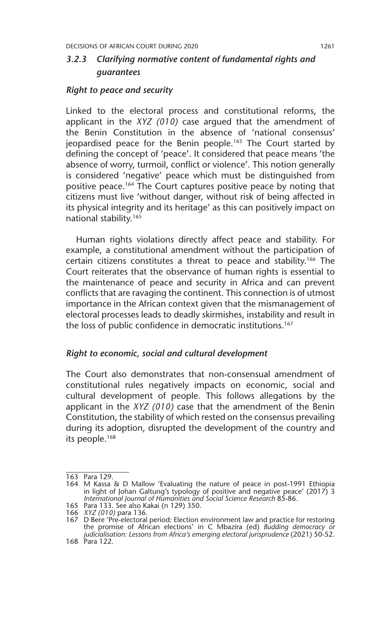## *3.2.3 Clarifying normative content of fundamental rights and guarantees*

#### *Right to peace and security*

Linked to the electoral process and constitutional reforms, the applicant in the *XYZ (010)* case argued that the amendment of the Benin Constitution in the absence of 'national consensus' jeopardised peace for the Benin people.<sup>163</sup> The Court started by defining the concept of 'peace'. It considered that peace means 'the absence of worry, turmoil, conflict or violence'. This notion generally is considered 'negative' peace which must be distinguished from positive peace.164 The Court captures positive peace by noting that citizens must live 'without danger, without risk of being affected in its physical integrity and its heritage' as this can positively impact on national stability.165

Human rights violations directly affect peace and stability. For example, a constitutional amendment without the participation of certain citizens constitutes a threat to peace and stability.<sup>166</sup> The Court reiterates that the observance of human rights is essential to the maintenance of peace and security in Africa and can prevent conflicts that are ravaging the continent. This connection is of utmost importance in the African context given that the mismanagement of electoral processes leads to deadly skirmishes, instability and result in the loss of public confidence in democratic institutions.<sup>167</sup>

#### *Right to economic, social and cultural development*

The Court also demonstrates that non-consensual amendment of constitutional rules negatively impacts on economic, social and cultural development of people. This follows allegations by the applicant in the *XYZ (010)* case that the amendment of the Benin Constitution, the stability of which rested on the consensus prevailing during its adoption, disrupted the development of the country and its people.<sup>168</sup>

<sup>163</sup> Para 129.

<sup>164</sup> M Kassa & D Mallow 'Evaluating the nature of peace in post-1991 Ethiopia in light of Johan Galtung's typology of positive and negative peace' (2017) 3 *International Journal of Humanities and Social Science Research* 85-86.

<sup>165</sup> Para 133. See also Kakai (n 129) 350.

<sup>166</sup> *XYZ (010)* para 136. 167 D Bere 'Pre-electoral period: Election environment law and practice for restoring the promise of African elections' in C Mbazira (ed) *Budding democracy or judicialisation: Lessons from Africa's emerging electoral jurisprudence* (2021) 50-52.

<sup>168</sup> Para 122.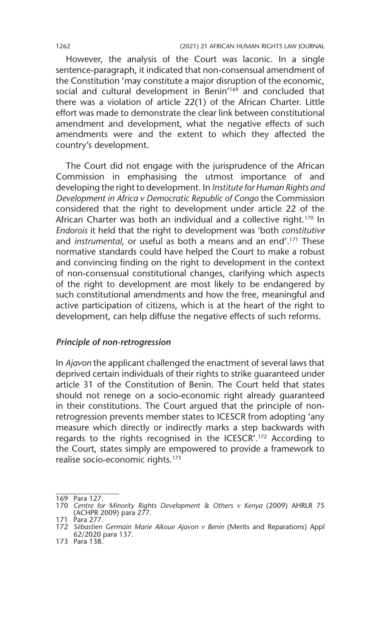However, the analysis of the Court was laconic. In a single sentence-paragraph, it indicated that non-consensual amendment of the Constitution 'may constitute a major disruption of the economic, social and cultural development in Benin'<sup>169</sup> and concluded that there was a violation of article 22(1) of the African Charter. Little effort was made to demonstrate the clear link between constitutional amendment and development, what the negative effects of such amendments were and the extent to which they affected the country's development.

The Court did not engage with the jurisprudence of the African Commission in emphasising the utmost importance of and developing the right to development. In *Institute for Human Rights and Development in Africa v Democratic Republic of Congo* the Commission considered that the right to development under article 22 of the African Charter was both an individual and a collective right.<sup>170</sup> In *Endorois* it held that the right to development was 'both *constitutive*  and *instrumental*, or useful as both a means and an end'.171 These normative standards could have helped the Court to make a robust and convincing finding on the right to development in the context of non-consensual constitutional changes, clarifying which aspects of the right to development are most likely to be endangered by such constitutional amendments and how the free, meaningful and active participation of citizens, which is at the heart of the right to development, can help diffuse the negative effects of such reforms.

#### *Principle of non-retrogression*

In *Ajavon* the applicant challenged the enactment of several laws that deprived certain individuals of their rights to strike guaranteed under article 31 of the Constitution of Benin. The Court held that states should not renege on a socio-economic right already guaranteed in their constitutions. The Court argued that the principle of nonretrogression prevents member states to ICESCR from adopting 'any measure which directly or indirectly marks a step backwards with regards to the rights recognised in the ICESCR'.172 According to the Court, states simply are empowered to provide a framework to realise socio-economic rights.173

173 Para 138.

<sup>169</sup> Para 127.

<sup>170</sup> *Centre for Minority Rights Development & Others v Kenya* (2009) AHRLR 75 (ACHPR 2009) para 277.

<sup>171</sup> Para 277.

<sup>172</sup> *Sébastien Germain Marie Aïkoue Ajavon v Benin* (Merits and Reparations) Appl 62/2020 para 137.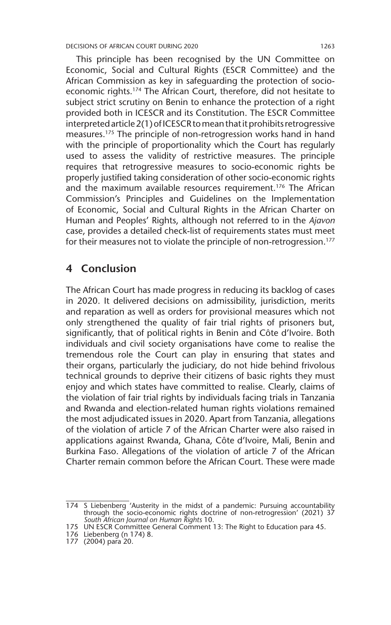This principle has been recognised by the UN Committee on Economic, Social and Cultural Rights (ESCR Committee) and the African Commission as key in safeguarding the protection of socioeconomic rights.174 The African Court, therefore, did not hesitate to subject strict scrutiny on Benin to enhance the protection of a right provided both in ICESCR and its Constitution. The ESCR Committee interpreted article 2(1) of ICESCR to mean that it prohibits retrogressive measures.175 The principle of non-retrogression works hand in hand with the principle of proportionality which the Court has regularly used to assess the validity of restrictive measures. The principle requires that retrogressive measures to socio-economic rights be properly justified taking consideration of other socio-economic rights and the maximum available resources requirement.<sup>176</sup> The African Commission's Principles and Guidelines on the Implementation of Economic, Social and Cultural Rights in the African Charter on Human and Peoples' Rights, although not referred to in the *Ajavon* case, provides a detailed check-list of requirements states must meet for their measures not to violate the principle of non-retrogression.<sup>177</sup>

## **4 Conclusion**

The African Court has made progress in reducing its backlog of cases in 2020. It delivered decisions on admissibility, jurisdiction, merits and reparation as well as orders for provisional measures which not only strengthened the quality of fair trial rights of prisoners but, significantly, that of political rights in Benin and Côte d'Ivoire. Both individuals and civil society organisations have come to realise the tremendous role the Court can play in ensuring that states and their organs, particularly the judiciary, do not hide behind frivolous technical grounds to deprive their citizens of basic rights they must enjoy and which states have committed to realise. Clearly, claims of the violation of fair trial rights by individuals facing trials in Tanzania and Rwanda and election-related human rights violations remained the most adjudicated issues in 2020. Apart from Tanzania, allegations of the violation of article 7 of the African Charter were also raised in applications against Rwanda, Ghana, Côte d'Ivoire, Mali, Benin and Burkina Faso. Allegations of the violation of article 7 of the African Charter remain common before the African Court. These were made

<sup>174</sup> S Liebenberg 'Austerity in the midst of a pandemic: Pursuing accountability through the socio-economic rights doctrine of non-retrogression' (2021) 37 *South African Journal on Human Rights* 10.

<sup>175</sup> UN ESCR Committee General Comment 13: The Right to Education para 45.

<sup>176</sup> Liebenberg (n 174) 8.

<sup>177</sup> (2004) para 20.